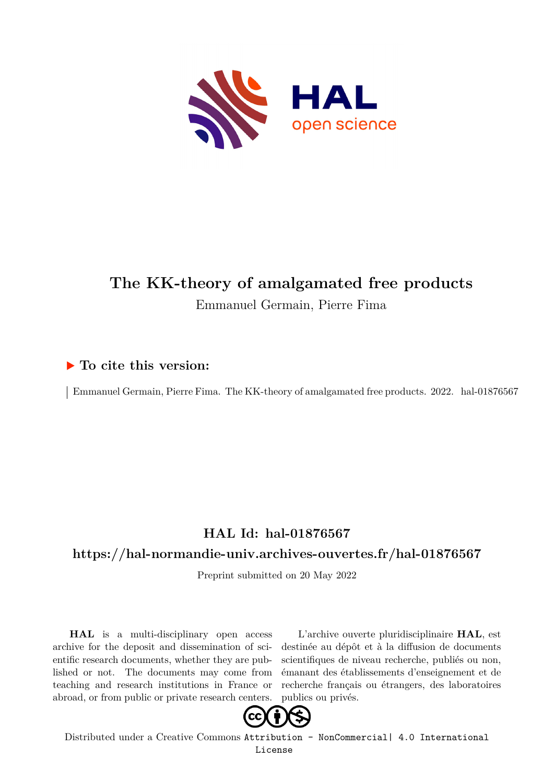

# **The KK-theory of amalgamated free products** Emmanuel Germain, Pierre Fima

# **To cite this version:**

| Emmanuel Germain, Pierre Fima. The KK-theory of amalgamated free products. 2022. hal-01876567

# **HAL Id: hal-01876567**

## **<https://hal-normandie-univ.archives-ouvertes.fr/hal-01876567>**

Preprint submitted on 20 May 2022

**HAL** is a multi-disciplinary open access archive for the deposit and dissemination of scientific research documents, whether they are published or not. The documents may come from teaching and research institutions in France or abroad, or from public or private research centers.

L'archive ouverte pluridisciplinaire **HAL**, est destinée au dépôt et à la diffusion de documents scientifiques de niveau recherche, publiés ou non, émanant des établissements d'enseignement et de recherche français ou étrangers, des laboratoires publics ou privés.



Distributed under a Creative Commons [Attribution - NonCommercial| 4.0 International](http://creativecommons.org/licenses/by-nc/4.0/) [License](http://creativecommons.org/licenses/by-nc/4.0/)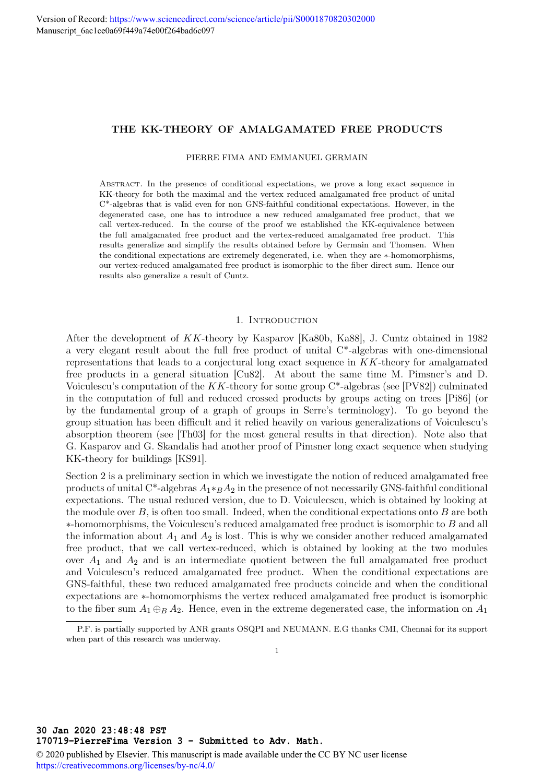### THE KK-THEORY OF AMALGAMATED FREE PRODUCTS

#### PIERRE FIMA AND EMMANUEL GERMAIN

Abstract. In the presence of conditional expectations, we prove a long exact sequence in KK-theory for both the maximal and the vertex reduced amalgamated free product of unital C\*-algebras that is valid even for non GNS-faithful conditional expectations. However, in the degenerated case, one has to introduce a new reduced amalgamated free product, that we call vertex-reduced. In the course of the proof we established the KK-equivalence between the full amalgamated free product and the vertex-reduced amalgamated free product. This results generalize and simplify the results obtained before by Germain and Thomsen. When the conditional expectations are extremely degenerated, i.e. when they are ∗-homomorphisms, our vertex-reduced amalgamated free product is isomorphic to the fiber direct sum. Hence our results also generalize a result of Cuntz.

#### 1. INTRODUCTION

After the development of KK-theory by Kasparov [Ka80b, Ka88], J. Cuntz obtained in 1982 a very elegant result about the full free product of unital C\*-algebras with one-dimensional representations that leads to a conjectural long exact sequence in KK-theory for amalgamated free products in a general situation [Cu82]. At about the same time M. Pimsner's and D. Voiculescu's computation of the  $KK$ -theory for some group  $C^*$ -algebras (see [PV82]) culminated in the computation of full and reduced crossed products by groups acting on trees [Pi86] (or by the fundamental group of a graph of groups in Serre's terminology). To go beyond the group situation has been difficult and it relied heavily on various generalizations of Voiculescu's absorption theorem (see [Th03] for the most general results in that direction). Note also that G. Kasparov and G. Skandalis had another proof of Pimsner long exact sequence when studying KK-theory for buildings [KS91].

Section 2 is a preliminary section in which we investigate the notion of reduced amalgamated free products of unital C<sup>\*</sup>-algebras  $A_1 *_{B} A_2$  in the presence of not necessarily GNS-faithful conditional expectations. The usual reduced version, due to D. Voiculecscu, which is obtained by looking at the module over  $B$ , is often too small. Indeed, when the conditional expectations onto  $B$  are both  $*$ -homomorphisms, the Voiculescu's reduced amalgamated free product is isomorphic to  $B$  and all the information about  $A_1$  and  $A_2$  is lost. This is why we consider another reduced amalgamated free product, that we call vertex-reduced, which is obtained by looking at the two modules over  $A_1$  and  $A_2$  and is an intermediate quotient between the full amalgamated free product and Voiculescu's reduced amalgamated free product. When the conditional expectations are GNS-faithful, these two reduced amalgamated free products coincide and when the conditional expectations are ∗-homomorphisms the vertex reduced amalgamated free product is isomorphic to the fiber sum  $A_1 \oplus_B A_2$ . Hence, even in the extreme degenerated case, the information on  $A_1$ 

© 2020 published by Elsevier. This manuscript is made available under the CC BY NC user license <https://creativecommons.org/licenses/by-nc/4.0/>

P.F. is partially supported by ANR grants OSQPI and NEUMANN. E.G thanks CMI, Chennai for its support when part of this research was underway.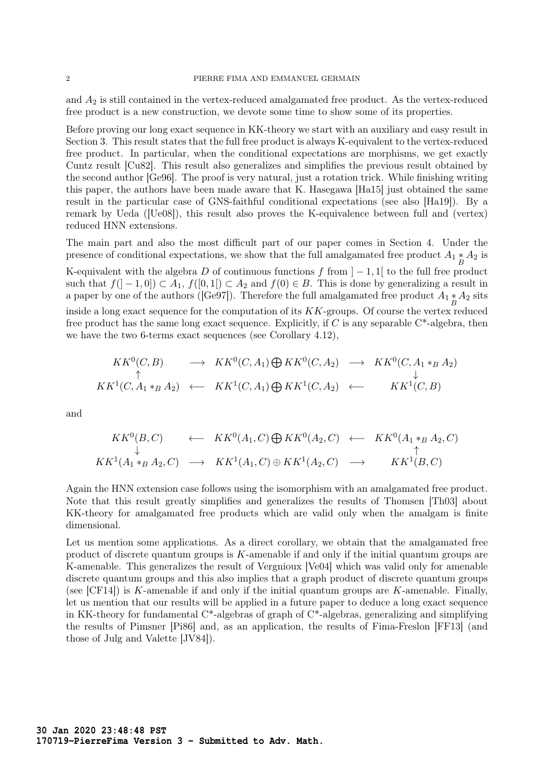and  $A_2$  is still contained in the vertex-reduced amalgamated free product. As the vertex-reduced free product is a new construction, we devote some time to show some of its properties.

Before proving our long exact sequence in KK-theory we start with an auxiliary and easy result in Section 3. This result states that the full free product is always K-equivalent to the vertex-reduced free product. In particular, when the conditional expectations are morphisms, we get exactly Cuntz result [Cu82]. This result also generalizes and simplifies the previous result obtained by the second author [Ge96]. The proof is very natural, just a rotation trick. While finishing writing this paper, the authors have been made aware that K. Hasegawa [Ha15] just obtained the same result in the particular case of GNS-faithful conditional expectations (see also [Ha19]). By a remark by Ueda ([Ue08]), this result also proves the K-equivalence between full and (vertex) reduced HNN extensions.

The main part and also the most difficult part of our paper comes in Section 4. Under the presence of conditional expectations, we show that the full amalgamated free product  $A_1 * A_2$  is K-equivalent with the algebra D of continuous functions f from  $]-1,1[$  to the full free product such that  $f([-1,0]) \subset A_1$ ,  $f([0,1]) \subset A_2$  and  $f(0) \in B$ . This is done by generalizing a result in a paper by one of the authors ([Ge97]). Therefore the full amalgamated free product  $A_1 * A_2$  sits inside a long exact sequence for the computation of its  $KK$ -groups. Of course the vertex reduced free product has the same long exact sequence. Explicitly, if  $C$  is any separable  $C^*$ -algebra, then we have the two 6-terms exact sequences (see Corollary 4.12),

$$
KK^0(C, B) \longrightarrow KK^0(C, A_1) \bigoplus KK^0(C, A_2) \longrightarrow KK^0(C, A_1 *_B A_2)
$$
  
\n
$$
\uparrow \qquad \qquad \downarrow
$$
  
\n
$$
KK^1(C, A_1 *_B A_2) \longleftarrow KK^1(C, A_1) \bigoplus KK^1(C, A_2) \longleftarrow KK^1(C, B)
$$

and

$$
KK^0(B, C) \leftarrow KK^0(A_1, C) \bigoplus KK^0(A_2, C) \leftarrow KK^0(A_1 *_{B} A_2, C)
$$
  
\n
$$
\downarrow \uparrow
$$
  
\n
$$
KK^1(A_1 *_{B} A_2, C) \rightarrow KK^1(A_1, C) \oplus KK^1(A_2, C) \rightarrow KK^1(B, C)
$$

Again the HNN extension case follows using the isomorphism with an amalgamated free product. Note that this result greatly simplifies and generalizes the results of Thomsen [Th03] about KK-theory for amalgamated free products which are valid only when the amalgam is finite dimensional.

Let us mention some applications. As a direct corollary, we obtain that the amalgamated free product of discrete quantum groups is  $K$ -amenable if and only if the initial quantum groups are K-amenable. This generalizes the result of Vergnioux [Ve04] which was valid only for amenable discrete quantum groups and this also implies that a graph product of discrete quantum groups (see  $[CF14]$ ) is K-amenable if and only if the initial quantum groups are K-amenable. Finally, let us mention that our results will be applied in a future paper to deduce a long exact sequence in KK-theory for fundamental C\*-algebras of graph of C\*-algebras, generalizing and simplifying the results of Pimsner [Pi86] and, as an application, the results of Fima-Freslon [FF13] (and those of Julg and Valette [JV84]).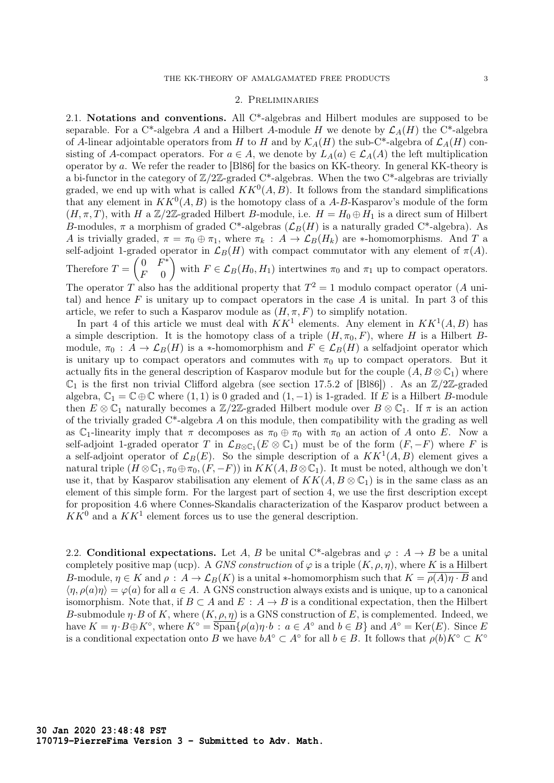#### 2. Preliminaries

2.1. Notations and conventions. All C\*-algebras and Hilbert modules are supposed to be separable. For a C<sup>\*</sup>-algebra A and a Hilbert A-module H we denote by  $\mathcal{L}_A(H)$  the C<sup>\*</sup>-algebra of A-linear adjointable operators from H to H and by  $\mathcal{K}_A(H)$  the sub-C\*-algebra of  $\mathcal{L}_A(H)$  consisting of A-compact operators. For  $a \in A$ , we denote by  $L_A(a) \in \mathcal{L}_A(A)$  the left multiplication operator by a. We refer the reader to [Bl86] for the basics on KK-theory. In general KK-theory is a bi-functor in the category of  $\mathbb{Z}/2\mathbb{Z}$ -graded C<sup>\*</sup>-algebras. When the two C<sup>\*</sup>-algebras are trivially graded, we end up with what is called  $KK^0(A, B)$ . It follows from the standard simplifications that any element in  $KK^0(A, B)$  is the homotopy class of a A-B-Kasparov's module of the form  $(H, \pi, T)$ , with H a Z/2Z-graded Hilbert B-module, i.e.  $H = H_0 \oplus H_1$  is a direct sum of Hilbert B-modules,  $\pi$  a morphism of graded C\*-algebras  $(\mathcal{L}_B(H)$  is a naturally graded C\*-algebra). As A is trivially graded,  $\pi = \pi_0 \oplus \pi_1$ , where  $\pi_k : A \to \mathcal{L}_B(H_k)$  are \*-homomorphisms. And T a self-adjoint 1-graded operator in  $\mathcal{L}_B(H)$  with compact commutator with any element of  $\pi(A)$ . Therefore  $T = \begin{pmatrix} 0 & F^* \\ F & 0 \end{pmatrix}$  $F \quad 0$ with  $F \in \mathcal{L}_B(H_0, H_1)$  intertwines  $\pi_0$  and  $\pi_1$  up to compact operators. The operator T also has the additional property that  $T^2 = 1$  modulo compact operator (A unital) and hence  $F$  is unitary up to compact operators in the case  $A$  is unital. In part 3 of this article, we refer to such a Kasparov module as  $(H, \pi, F)$  to simplify notation.

In part 4 of this article we must deal with  $KK^1$  elements. Any element in  $KK^1(A, B)$  has a simple description. It is the homotopy class of a triple  $(H, \pi_0, F)$ , where H is a Hilbert Bmodule,  $\pi_0$ :  $A \to \mathcal{L}_B(H)$  is a \*-homomorphism and  $F \in \mathcal{L}_B(H)$  a selfadjoint operator which is unitary up to compact operators and commutes with  $\pi_0$  up to compact operators. But it actually fits in the general description of Kasparov module but for the couple  $(A, B \otimes \mathbb{C}_1)$  where  $\mathbb{C}_1$  is the first non trivial Clifford algebra (see section 17.5.2 of [Bl86]). As an  $\mathbb{Z}/2\mathbb{Z}$ -graded algebra,  $\mathbb{C}_1 = \mathbb{C} \oplus \mathbb{C}$  where  $(1, 1)$  is 0 graded and  $(1, -1)$  is 1-graded. If E is a Hilbert B-module then  $E \otimes \mathbb{C}_1$  naturally becomes a  $\mathbb{Z}/2\mathbb{Z}$ -graded Hilbert module over  $B \otimes \mathbb{C}_1$ . If  $\pi$  is an action of the trivially graded  $C^*$ -algebra A on this module, then compatibility with the grading as well as C<sub>1</sub>-linearity imply that  $\pi$  decomposes as  $\pi_0 \oplus \pi_0$  with  $\pi_0$  an action of A onto E. Now a self-adjoint 1-graded operator T in  $\mathcal{L}_{B\otimes\mathbb{C}_1}(E\otimes\mathbb{C}_1)$  must be of the form  $(F, -F)$  where F is a self-adjoint operator of  $\mathcal{L}_B(E)$ . So the simple description of a  $KK^1(A, B)$  element gives a natural triple  $(H \otimes \mathbb{C}_1, \pi_0 \oplus \pi_0, (F, -F))$  in  $KK(A, B \otimes \mathbb{C}_1)$ . It must be noted, although we don't use it, that by Kasparov stabilisation any element of  $KK(A, B \otimes \mathbb{C}_1)$  is in the same class as an element of this simple form. For the largest part of section 4, we use the first description except for proposition 4.6 where Connes-Skandalis characterization of the Kasparov product between a  $KK^0$  and a  $KK^1$  element forces us to use the general description.

2.2. Conditional expectations. Let A, B be unital C\*-algebras and  $\varphi : A \to B$  be a unital completely positive map (ucp). A GNS construction of  $\varphi$  is a triple  $(K, \rho, \eta)$ , where K is a Hilbert B-module,  $\eta \in K$  and  $\rho : A \to \mathcal{L}_B(K)$  is a unital \*-homomorphism such that  $K = \rho(A)\eta \cdot B$  and  $\langle \eta, \rho(a)\eta \rangle = \varphi(a)$  for all  $a \in A$ . A GNS construction always exists and is unique, up to a canonical isomorphism. Note that, if  $B \subset A$  and  $E : A \to B$  is a conditional expectation, then the Hilbert B-submodule  $\eta \cdot B$  of K, where  $(K, \rho, \eta)$  is a GNS construction of E, is complemented. Indeed, we have  $K = \eta \cdot B \oplus K^{\circ}$ , where  $K^{\circ} = \overline{\text{Span}}\{\rho(a)\eta \cdot b : a \in A^{\circ} \text{ and } b \in B\}$  and  $A^{\circ} = \text{Ker}(E)$ . Since E is a conditional expectation onto B we have  $bA^{\circ} \subset A^{\circ}$  for all  $b \in B$ . It follows that  $\rho(b)K^{\circ} \subset K^{\circ}$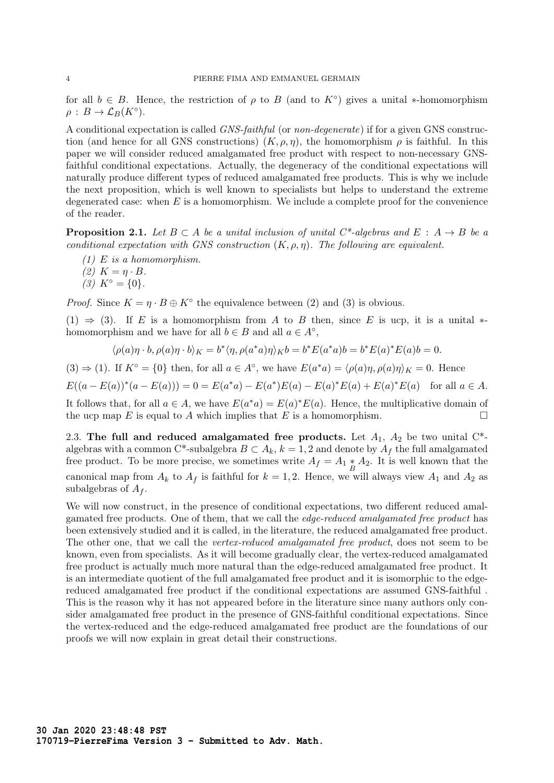for all  $b \in B$ . Hence, the restriction of  $\rho$  to B (and to  $K^{\circ}$ ) gives a unital \*-homomorphism  $\rho: B \to \mathcal{L}_B(K^{\circ}).$ 

A conditional expectation is called GNS-faithful (or non-degenerate) if for a given GNS construction (and hence for all GNS constructions)  $(K, \rho, \eta)$ , the homomorphism  $\rho$  is faithful. In this paper we will consider reduced amalgamated free product with respect to non-necessary GNSfaithful conditional expectations. Actually, the degeneracy of the conditional expectations will naturally produce different types of reduced amalgamated free products. This is why we include the next proposition, which is well known to specialists but helps to understand the extreme degenerated case: when  $E$  is a homomorphism. We include a complete proof for the convenience of the reader.

**Proposition 2.1.** Let  $B \subset A$  be a unital inclusion of unital C<sup>\*</sup>-algebras and  $E : A \rightarrow B$  be a conditional expectation with GNS construction  $(K, \rho, \eta)$ . The following are equivalent.

- $(1)$  E is a homomorphism.
- $(2)$   $K = n \cdot B$ .
- $(3) K^{\circ} = \{0\}.$

*Proof.* Since  $K = \eta \cdot B \oplus K^{\circ}$  the equivalence between (2) and (3) is obvious.

(1)  $\Rightarrow$  (3). If E is a homomorphism from A to B then, since E is ucp, it is a unital  $*$ homomorphism and we have for all  $b \in B$  and all  $a \in A^{\circ}$ ,

$$
\langle \rho(a)\eta \cdot b, \rho(a)\eta \cdot b \rangle_K = b^* \langle \eta, \rho(a^*a)\eta \rangle_K b = b^* E(a^*a)b = b^* E(a)^* E(a)b = 0.
$$

(3)  $\Rightarrow$  (1). If  $K^{\circ} = \{0\}$  then, for all  $a \in A^{\circ}$ , we have  $E(a^*a) = \langle \rho(a)\eta, \rho(a)\eta \rangle_K = 0$ . Hence

 $E((a - E(a))^*(a - E(a))) = 0 = E(a^*a) - E(a^*)E(a) - E(a)^*E(a) + E(a)^*E(a)$  for all  $a \in A$ .

It follows that, for all  $a \in A$ , we have  $E(a^*a) = E(a)^*E(a)$ . Hence, the multiplicative domain of the ucp map E is equal to A which implies that E is a homomorphism.

2.3. The full and reduced amalgamated free products. Let  $A_1$ ,  $A_2$  be two unital  $C^*$ algebras with a common C\*-subalgebra  $B \subset A_k$ ,  $k = 1, 2$  and denote by  $A_f$  the full amalgamated free product. To be more precise, we sometimes write  $A_f = A_1 * A_2$ . It is well known that the canonical map from  $A_k$  to  $A_f$  is faithful for  $k = 1, 2$ . Hence, we will always view  $A_1$  and  $A_2$  as subalgebras of  $A_f$ .

We will now construct, in the presence of conditional expectations, two different reduced amalgamated free products. One of them, that we call the edge-reduced amalgamated free product has been extensively studied and it is called, in the literature, the reduced amalgamated free product. The other one, that we call the *vertex-reduced amalgamated free product*, does not seem to be known, even from specialists. As it will become gradually clear, the vertex-reduced amalgamated free product is actually much more natural than the edge-reduced amalgamated free product. It is an intermediate quotient of the full amalgamated free product and it is isomorphic to the edgereduced amalgamated free product if the conditional expectations are assumed GNS-faithful . This is the reason why it has not appeared before in the literature since many authors only consider amalgamated free product in the presence of GNS-faithful conditional expectations. Since the vertex-reduced and the edge-reduced amalgamated free product are the foundations of our proofs we will now explain in great detail their constructions.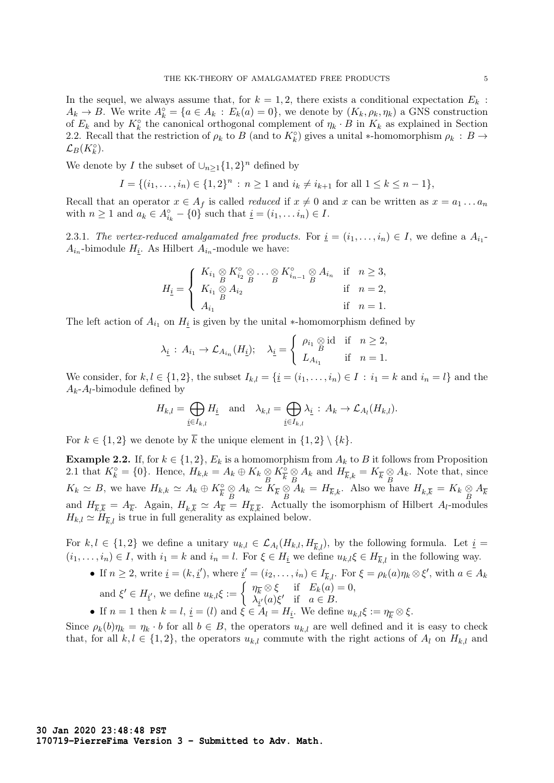In the sequel, we always assume that, for  $k = 1, 2$ , there exists a conditional expectation  $E_k$ :  $A_k \to B$ . We write  $A_k^{\circ} = \{a \in A_k : E_k(a) = 0\}$ , we denote by  $(K_k, \rho_k, \eta_k)$  a GNS construction of  $E_k$  and by  $K_k^{\circ}$  the canonical orthogonal complement of  $\eta_k \cdot B$  in  $K_k$  as explained in Section 2.2. Recall that the restriction of  $\rho_k$  to B (and to  $K_k^{\circ}$ ) gives a unital \*-homomorphism  $\rho_k : B \to$  $\mathcal{L}_B(K_k^\circ).$ 

We denote by I the subset of  $\bigcup_{n\geq 1} \{1,2\}^n$  defined by

$$
I = \{(i_1, \ldots, i_n) \in \{1, 2\}^n : n \ge 1 \text{ and } i_k \ne i_{k+1} \text{ for all } 1 \le k \le n-1\},\
$$

Recall that an operator  $x \in A_f$  is called *reduced* if  $x \neq 0$  and x can be written as  $x = a_1 \dots a_n$ with  $n \geq 1$  and  $a_k \in A_{i_k}^{\circ} - \{0\}$  such that  $\underline{i} = (i_1, \ldots i_n) \in I$ .

2.3.1. The vertex-reduced amalgamated free products. For  $\underline{i} = (i_1, \ldots, i_n) \in I$ , we define a  $A_{i_1}$ - $A_{i_n}$ -bimodule  $H_{\underline{i}}$ . As Hilbert  $A_{i_n}$ -module we have:

$$
H_{\underline{i}} = \begin{cases} K_{i_1} \underset{B}{\otimes} K_{i_2}^{\circ} \underset{B}{\otimes} \cdots \underset{B}{\otimes} K_{i_{n-1}}^{\circ} \underset{B}{\otimes} A_{i_n} & \text{if } n \geq 3, \\ K_{i_1} \underset{B}{\otimes} A_{i_2} & \text{if } n = 2, \\ A_{i_1} & \text{if } n = 1. \end{cases}
$$

The left action of  $A_{i_1}$  on  $H_{\underline{i}}$  is given by the unital ∗-homomorphism defined by

$$
\lambda_{\underline{i}} : A_{i_1} \to \mathcal{L}_{A_{i_n}}(H_{\underline{i}}); \quad \lambda_{\underline{i}} = \begin{cases} \rho_{i_1} \otimes \text{id} & \text{if} \quad n \geq 2, \\ L_{A_{i_1}} & \text{if} \quad n = 1. \end{cases}
$$

We consider, for  $k, l \in \{1, 2\}$ , the subset  $I_{k,l} = \{i = (i_1, \ldots, i_n) \in I : i_1 = k \text{ and } i_n = l\}$  and the  $A_k$ - $A_l$ -bimodule defined by

$$
H_{k,l} = \bigoplus_{\underline{i} \in I_{k,l}} H_{\underline{i}} \quad \text{and} \quad \lambda_{k,l} = \bigoplus_{\underline{i} \in I_{k,l}} \lambda_{\underline{i}} : A_k \to \mathcal{L}_{A_l}(H_{k,l}).
$$

For  $k \in \{1, 2\}$  we denote by  $\overline{k}$  the unique element in  $\{1, 2\} \setminus \{k\}.$ 

**Example 2.2.** If, for  $k \in \{1,2\}$ ,  $E_k$  is a homomorphism from  $A_k$  to B it follows from Proposition 2.1 that  $K_k^{\circ} = \{0\}$ . Hence,  $H_{k,k} = A_k \oplus K_k \underset{B}{\otimes} K_{\overline{k}}^{\circ} \underset{B}{\otimes} A_k$  and  $H_{\overline{k},k} = K_{\overline{k}} \underset{B}{\otimes} A_k$ . Note that, since  $K_k \simeq B$ , we have  $H_{k,k} \simeq A_k \oplus K_{\overline{k}}^{\circ} \underset{B}{\otimes} A_k \simeq \overline{K}_{\overline{k}} \underset{B}{\otimes} \overline{A}_k = H_{\overline{k},k}$ . Also we have  $H_{k,\overline{k}} = K_k \underset{B}{\otimes} A_{\overline{k}}$ and  $H_{\overline{k},\overline{k}} = A_{\overline{k}}$ . Again,  $H_{k,\overline{k}} \simeq A_{\overline{k}} = H_{\overline{k},\overline{k}}$ . Actually the isomorphism of Hilbert  $A_l$ -modules  $H_{k,l} \simeq H_{\overline{k},l}$  is true in full generality as explained below.

For  $k, l \in \{1, 2\}$  we define a unitary  $u_{k,l} \in \mathcal{L}_{A_l}(H_{k,l}, H_{\overline{k},l})$ , by the following formula. Let  $\underline{i} =$  $(i_1, \ldots, i_n) \in I$ , with  $i_1 = k$  and  $i_n = l$ . For  $\xi \in H_{\underline{i}}$  we define  $u_{k,l}\xi \in H_{\overline{k},l}$  in the following way.

- If  $n \geq 2$ , write  $\underline{i} = (k, \underline{i}')$ , where  $\underline{i}' = (i_2, \ldots, i_n) \in I_{\overline{k},l}$ . For  $\xi = \rho_k(a)\eta_k \otimes \xi'$ , with  $a \in A_k$ and  $\xi' \in H_{i'}$ , we define  $u_{k,l}\xi := \begin{cases} \eta_k \otimes \xi & \text{if } E_k(a) = 0, \\ \lambda_{k'}(a)\xi' & \text{if } a \in B. \end{cases}$  $\lambda_{\underline{i}'}(a)\xi'$  if  $a \in B$ .
- If  $n = 1$  then  $k = l$ ,  $\underline{i} = (l)$  and  $\xi \in A_l = H_{\underline{i}}$ . We define  $u_{k,l}\xi := \eta_{\overline{k}} \otimes \xi$ .

Since  $\rho_k(b)\eta_k = \eta_k \cdot b$  for all  $b \in B$ , the operators  $u_{k,l}$  are well defined and it is easy to check that, for all  $k, l \in \{1, 2\}$ , the operators  $u_{k,l}$  commute with the right actions of  $A_l$  on  $H_{k,l}$  and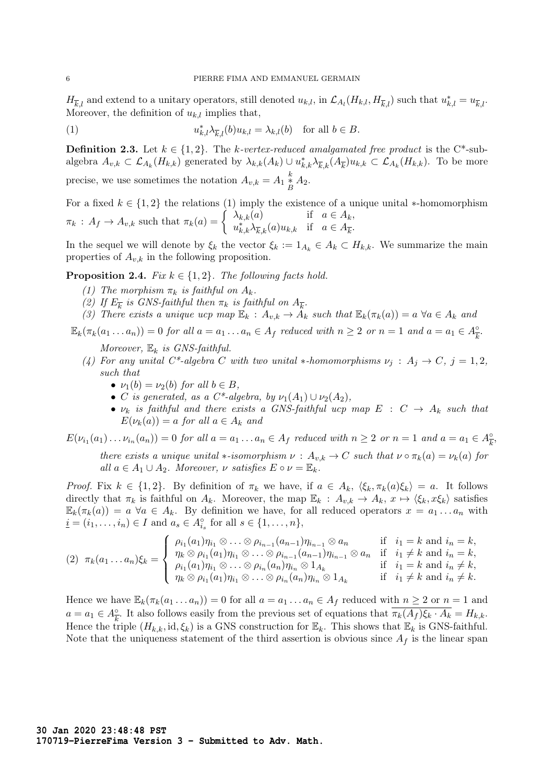$H_{\overline{k},l}$  and extend to a unitary operators, still denoted  $u_{k,l}$ , in  $\mathcal{L}_{A_l}(H_{k,l}, H_{\overline{k},l})$  such that  $u_{k,l}^* = u_{\overline{k},l}$ . Moreover, the definition of  $u_{k,l}$  implies that,

(1) 
$$
u_{k,l}^*\lambda_{\overline{k},l}(b)u_{k,l}=\lambda_{k,l}(b) \text{ for all } b\in B.
$$

**Definition 2.3.** Let  $k \in \{1,2\}$ . The k-vertex-reduced amalgamated free product is the C<sup>\*</sup>-subalgebra  $A_{v,k} \subset \mathcal{L}_{A_k}(H_{k,k})$  generated by  $\lambda_{k,k}(A_k) \cup u_{k,k}^* \lambda_{k,k}(A_k) u_{k,k} \subset \mathcal{L}_{A_k}(H_{k,k})$ . To be more precise, we use sometimes the notation  $A_{v,k} = A_1 \frac{k}{B} A_2$ .

For a fixed  $k \in \{1,2\}$  the relations (1) imply the existence of a unique unital \*-homomorphism  $\pi_k$ :  $A_f \to A_{v,k}$  such that  $\pi_k(a) = \begin{cases} \lambda_{k,k}(a) & \text{if } a \in A_k, \\ u^* \to a \in A_{v,k} \end{cases}$  $u_{k,k}^*\lambda_{\overline{k},k}(a)u_{k,k}$  if  $a \in A_{\overline{k}}$ .

In the sequel we will denote by  $\xi_k$  the vector  $\xi_k := 1_{A_k} \in A_k \subset H_{k,k}$ . We summarize the main properties of  $A_{v,k}$  in the following proposition.

**Proposition 2.4.** Fix  $k \in \{1, 2\}$ . The following facts hold.

- (1) The morphism  $\pi_k$  is faithful on  $A_k$ .
- (2) If  $E_{\overline{k}}$  is GNS-faithful then  $\pi_k$  is faithful on  $A_{\overline{k}}$ .
- (3) There exists a unique ucp map  $\mathbb{E}_k : A_{v,k} \to A_k$  such that  $\mathbb{E}_k(\pi_k(a)) = a \; \forall a \in A_k$  and

 $\mathbb{E}_k(\pi_k(a_1 \dots a_n)) = 0$  for all  $a = a_1 \dots a_n \in A_f$  reduced with  $n \geq 2$  or  $n = 1$  and  $a = a_1 \in A_{\overline{k}}^{\circ}$  $\frac{\circ}{k}$ .

Moreover,  $\mathbb{E}_k$  is GNS-faithful.

- (4) For any unital C\*-algebra C with two unital \*-homomorphisms  $\nu_i : A_i \to C$ ,  $j = 1, 2$ , such that
	- $\nu_1(b) = \nu_2(b)$  for all  $b \in B$ ,
	- C is generated, as a C\*-algebra, by  $\nu_1(A_1) \cup \nu_2(A_2)$ ,
	- $\nu_k$  is faithful and there exists a GNS-faithful ucp map  $E : C \rightarrow A_k$  such that  $E(\nu_k(a)) = a$  for all  $a \in A_k$  and

 $E(\nu_{i_1}(a_1)\dots \nu_{i_n}(a_n))=0$  for all  $a=a_1\dots a_n\in A_f$  reduced with  $n\geq 2$  or  $n=1$  and  $a=a_1\in A_{\overline{k}}^{\circ}$  $\frac{\circ}{k}$ there exists a unique unital  $\ast$ -isomorphism  $\nu : A_{v,k} \to C$  such that  $\nu \circ \pi_k(a) = \nu_k(a)$  for all  $a \in A_1 \cup A_2$ . Moreover,  $\nu$  satisfies  $E \circ \nu = \mathbb{E}_k$ .

Proof. Fix  $k \in \{1,2\}$ . By definition of  $\pi_k$  we have, if  $a \in A_k$ ,  $\langle \xi_k, \pi_k(a)\xi_k \rangle = a$ . It follows directly that  $\pi_k$  is faithful on  $A_k$ . Moreover, the map  $\mathbb{E}_k : A_{v,k} \to A_k$ ,  $x \mapsto \langle \xi_k, x \xi_k \rangle$  satisfies  $\mathbb{E}_k(\pi_k(a)) = a \; \forall a \in A_k$ . By definition we have, for all reduced operators  $x = a_1 \dots a_n$  with  $\underline{i} = (i_1, \ldots, i_n) \in I$  and  $a_s \in A_{i_s}^{\circ}$  for all  $s \in \{1, \ldots, n\},$ 

$$
(2) \ \ \pi_k(a_1 \ldots a_n)\xi_k = \begin{cases} \rho_{i_1}(a_1)\eta_{i_1} \otimes \ldots \otimes \rho_{i_{n-1}}(a_{n-1})\eta_{i_{n-1}} \otimes a_n & \text{if } i_1 = k \text{ and } i_n = k, \\ \eta_k \otimes \rho_{i_1}(a_1)\eta_{i_1} \otimes \ldots \otimes \rho_{i_{n-1}}(a_{n-1})\eta_{i_{n-1}} \otimes a_n & \text{if } i_1 \neq k \text{ and } i_n = k, \\ \rho_{i_1}(a_1)\eta_{i_1} \otimes \ldots \otimes \rho_{i_n}(a_n)\eta_{i_n} \otimes 1_{A_k} & \text{if } i_1 = k \text{ and } i_n \neq k, \\ \eta_k \otimes \rho_{i_1}(a_1)\eta_{i_1} \otimes \ldots \otimes \rho_{i_n}(a_n)\eta_{i_n} \otimes 1_{A_k} & \text{if } i_1 \neq k \text{ and } i_n \neq k. \end{cases}
$$

Hence we have  $\mathbb{E}_k(\pi_k(a_1 \dots a_n)) = 0$  for all  $a = a_1 \dots a_n \in A_f$  reduced with  $n \geq 2$  or  $n = 1$  and  $a = a_1 \in A_{\overline{k}}^{\circ}$ . It also follows easily from the previous set of equations that  $\overline{\pi_k(A_f)\xi_k \cdot A_k} = H_{k,k}$ . Hence the triple  $(H_{k,k}, id, \xi_k)$  is a GNS construction for  $\mathbb{E}_k$ . This shows that  $\mathbb{E}_k$  is GNS-faithful. Note that the uniqueness statement of the third assertion is obvious since  $A_f$  is the linear span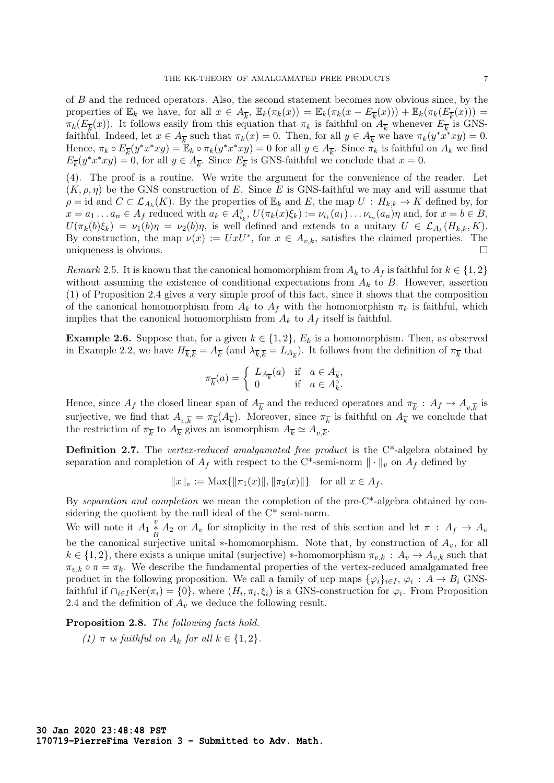of B and the reduced operators. Also, the second statement becomes now obvious since, by the properties of  $\mathbb{E}_k$  we have, for all  $x \in A_{\overline{k}}$ ,  $\mathbb{E}_k(\pi_k(x)) = \mathbb{E}_k(\pi_k(x - E_{\overline{k}}(x))) + \mathbb{E}_k(\pi_k(E_{\overline{k}}(x))) =$  $\pi_k(E_{\overline{k}}(x))$ . It follows easily from this equation that  $\pi_k$  is faithful on  $A_{\overline{k}}$  whenever  $E_{\overline{k}}$  is GNSfaithful. Indeed, let  $x \in A_{\overline{k}}$  such that  $\pi_k(x) = 0$ . Then, for all  $y \in A_{\overline{k}}$  we have  $\pi_k(y^*x^*xy) = 0$ . Hence,  $\pi_k \circ E_{\overline{k}}(y^*x^*xy) = \mathbb{E}_k \circ \pi_k(y^*x^*xy) = 0$  for all  $y \in A_{\overline{k}}$ . Since  $\pi_k$  is faithful on  $A_k$  we find  $E_{\overline{k}}(y^*x^*xy) = 0$ , for all  $y \in A_{\overline{k}}$ . Since  $E_{\overline{k}}$  is GNS-faithful we conclude that  $x = 0$ .

(4). The proof is a routine. We write the argument for the convenience of the reader. Let  $(K, \rho, \eta)$  be the GNS construction of E. Since E is GNS-faithful we may and will assume that  $\rho = \text{id}$  and  $C \subset \mathcal{L}_{A_k}(K)$ . By the properties of  $\mathbb{E}_k$  and E, the map  $U : H_{k,k} \to K$  defined by, for  $x = a_1 \dots a_n \in A_f$  reduced with  $a_k \in A_{i_k}^{\circ}, U(\pi_k(x)\xi_k) := \nu_{i_1}(a_1) \dots \nu_{i_n}(a_n)\eta$  and, for  $x = b \in B$ ,  $U(\pi_k(b)\xi_k) = \nu_1(b)\eta = \nu_2(b)\eta$ , is well defined and extends to a unitary  $U \in \mathcal{L}_{A_k}(H_{k,k}, K)$ . By construction, the map  $\nu(x) := UxU^*$ , for  $x \in A_{v,k}$ , satisfies the claimed properties. The uniqueness is obvious.

Remark 2.5. It is known that the canonical homomorphism from  $A_k$  to  $A_f$  is faithful for  $k \in \{1,2\}$ without assuming the existence of conditional expectations from  $A_k$  to B. However, assertion (1) of Proposition 2.4 gives a very simple proof of this fact, since it shows that the composition of the canonical homomorphism from  $A_k$  to  $A_f$  with the homomorphism  $\pi_k$  is faithful, which implies that the canonical homomorphism from  $A_k$  to  $A_f$  itself is faithful.

**Example 2.6.** Suppose that, for a given  $k \in \{1, 2\}$ ,  $E_k$  is a homomorphism. Then, as observed in Example 2.2, we have  $H_{\overline{k},\overline{k}} = A_{\overline{k}}$  (and  $\lambda_{\overline{k},\overline{k}} = L_{A_{\overline{k}}}\)$ . It follows from the definition of  $\pi_{\overline{k}}$  that

$$
\pi_{\overline{k}}(a) = \begin{cases} L_{A_{\overline{k}}}(a) & \text{if } a \in A_{\overline{k}}, \\ 0 & \text{if } a \in A_{k}^{\circ} . \end{cases}
$$

Hence, since  $A_f$  the closed linear span of  $A_{\overline{k}}$  and the reduced operators and  $\pi_{\overline{k}}$ :  $A_f \to A_{v,\overline{k}}$  is surjective, we find that  $A_{v,\overline{k}} = \pi_{\overline{k}}(A_{\overline{k}})$ . Moreover, since  $\pi_{\overline{k}}$  is faithful on  $A_{\overline{k}}$  we conclude that the restriction of  $\pi_{\overline{k}}$  to  $A_{\overline{k}}$  gives an isomorphism  $A_{\overline{k}} \simeq A_{v,\overline{k}}$ .

Definition 2.7. The vertex-reduced amalgamated free product is the C<sup>\*</sup>-algebra obtained by separation and completion of  $A_f$  with respect to the C\*-semi-norm  $\|\cdot\|_v$  on  $A_f$  defined by

$$
||x||_v := \text{Max}\{||\pi_1(x)||, ||\pi_2(x)||\} \text{ for all } x \in A_f.
$$

By separation and completion we mean the completion of the pre-C<sup>\*</sup>-algebra obtained by considering the quotient by the null ideal of the C\* semi-norm.

We will note it  $A_1 \stackrel{v}{\underset{B}{*}} A_2$  or  $A_v$  for simplicity in the rest of this section and let  $\pi$ :  $A_f \to A_v$ be the canonical surjective unital  $*$ -homomorphism. Note that, by construction of  $A_v$ , for all  $k \in \{1,2\}$ , there exists a unique unital (surjective) \*-homomorphism  $\pi_{v,k} : A_v \to A_{v,k}$  such that  $\pi_{v,k} \circ \pi = \pi_k$ . We describe the fundamental properties of the vertex-reduced amalgamated free product in the following proposition. We call a family of ucp maps  $\{\varphi_i\}_{i\in I}, \varphi_i : A \to B_i$  GNSfaithful if  $\bigcap_{i\in I} \text{Ker}(\pi_i) = \{0\}$ , where  $(H_i, \pi_i, \xi_i)$  is a GNS-construction for  $\varphi_i$ . From Proposition 2.4 and the definition of  $A_v$  we deduce the following result.

Proposition 2.8. The following facts hold.

(1)  $\pi$  is faithful on  $A_k$  for all  $k \in \{1,2\}$ .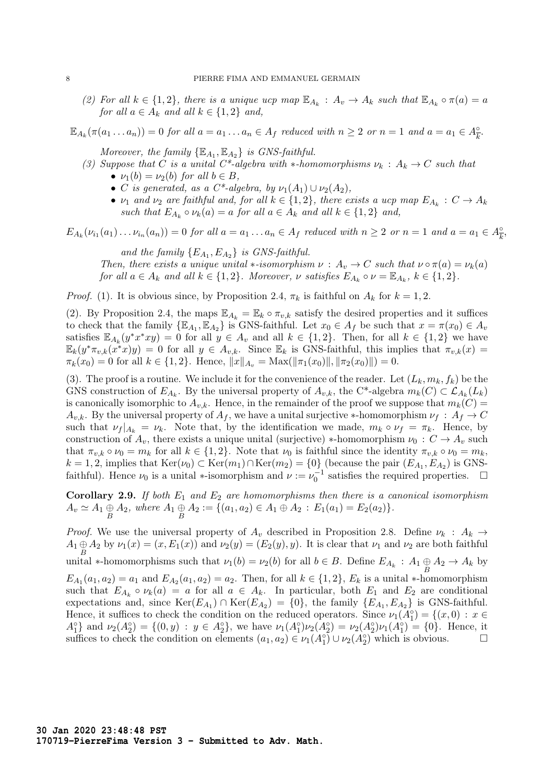(2) For all  $k \in \{1,2\}$ , there is a unique ucp map  $\mathbb{E}_{A_k}: A_v \to A_k$  such that  $\mathbb{E}_{A_k} \circ \pi(a) = a$ for all  $a \in A_k$  and all  $k \in \{1,2\}$  and,

$$
\mathbb{E}_{A_k}(\pi(a_1 \ldots a_n)) = 0 \text{ for all } a = a_1 \ldots a_n \in A_f \text{ reduced with } n \ge 2 \text{ or } n = 1 \text{ and } a = a_1 \in A_{\overline{k}}^{\circ}.
$$

Moreover, the family  $\{ \mathbb{E}_{A_1}, \mathbb{E}_{A_2} \}$  is GNS-faithful.

- (3) Suppose that C is a unital C\*-algebra with \*-homomorphisms  $\nu_k : A_k \to C$  such that
	- $\nu_1(b) = \nu_2(b)$  for all  $b \in B$ ,
	- C is generated, as a C\*-algebra, by  $\nu_1(A_1) \cup \nu_2(A_2)$ ,
	- $\nu_1$  and  $\nu_2$  are faithful and, for all  $k \in \{1, 2\}$ , there exists a ucp map  $E_{A_k}: C \to A_k$ such that  $E_{A_k} \circ \nu_k(a) = a$  for all  $a \in A_k$  and all  $k \in \{1,2\}$  and,

 $E_{A_k}(\nu_{i_1}(a_1)\dots\nu_{i_n}(a_n))=0$  for all  $a=a_1\dots a_n\in A_f$  reduced with  $n\geq 2$  or  $n=1$  and  $a=a_1\in A_{\overline{k}}^{\circ}$  $\frac{\circ}{k}$ 

and the family  ${E_{A_1}, E_{A_2}}$  is GNS-faithful. Then, there exists a unique unital  $\ast$ -isomorphism  $\nu : A_v \to C$  such that  $\nu \circ \pi(a) = \nu_k(a)$ for all  $a \in A_k$  and all  $k \in \{1,2\}$ . Moreover,  $\nu$  satisfies  $E_{A_k} \circ \nu = \mathbb{E}_{A_k}$ ,  $k \in \{1,2\}$ .

*Proof.* (1). It is obvious since, by Proposition 2.4,  $\pi_k$  is faithful on  $A_k$  for  $k = 1, 2$ .

(2). By Proposition 2.4, the maps  $\mathbb{E}_{A_k} = \mathbb{E}_k \circ \pi_{v,k}$  satisfy the desired properties and it suffices to check that the family  $\{\mathbb{E}_{A_1}, \mathbb{E}_{A_2}\}$  is GNS-faithful. Let  $x_0 \in A_f$  be such that  $x = \pi(x_0) \in A_v$ satisfies  $\mathbb{E}_{A_k}(y^*x^*xy) = 0$  for all  $y \in A_v$  and all  $k \in \{1,2\}$ . Then, for all  $k \in \{1,2\}$  we have  $\mathbb{E}_k(y^*\pi_{v,k}(x^*x)y) = 0$  for all  $y \in A_{v,k}$ . Since  $\mathbb{E}_k$  is GNS-faithful, this implies that  $\pi_{v,k}(x) =$  $\pi_k(x_0) = 0$  for all  $k \in \{1,2\}$ . Hence,  $||x||_{A_n} = \text{Max}(||\pi_1(x_0)||, ||\pi_2(x_0)||) = 0$ .

(3). The proof is a routine. We include it for the convenience of the reader. Let  $(L_k, m_k, f_k)$  be the GNS construction of  $E_{A_k}$ . By the universal property of  $A_{v,k}$ , the C<sup>\*</sup>-algebra  $m_k(C) \subset \mathcal{L}_{A_k}(L_k)$ is canonically isomorphic to  $A_{v,k}$ . Hence, in the remainder of the proof we suppose that  $m_k(C)$  $A_{v,k}$ . By the universal property of  $A_f$ , we have a unital surjective \*-homomorphism  $\nu_f : A_f \to C$ such that  $\nu_f |_{A_k} = \nu_k$ . Note that, by the identification we made,  $m_k \circ \nu_f = \pi_k$ . Hence, by construction of  $A_v$ , there exists a unique unital (surjective) \*-homomorphism  $\nu_0 : C \to A_v$  such that  $\pi_{v,k} \circ \nu_0 = m_k$  for all  $k \in \{1,2\}$ . Note that  $\nu_0$  is faithful since the identity  $\pi_{v,k} \circ \nu_0 = m_k$ ,  $k = 1, 2$ , implies that  $\text{Ker}(\nu_0) \subset \text{Ker}(m_1) \cap \text{Ker}(m_2) = \{0\}$  (because the pair  $(E_{A_1}, E_{A_2})$  is GNSfaithful). Hence  $\nu_0$  is a unital  $\ast$ -isomorphism and  $\nu := \nu_0^{-1}$  satisfies the required properties.  $\Box$ 

**Corollary 2.9.** If both  $E_1$  and  $E_2$  are homomorphisms then there is a canonical isomorphism  $A_v \simeq A_1 \oplus_{B} A_2$ , where  $A_1 \oplus_{B} A_2 := \{(a_1, a_2) \in A_1 \oplus A_2 : E_1(a_1) = E_2(a_2)\}.$ 

*Proof.* We use the universal property of  $A_v$  described in Proposition 2.8. Define  $\nu_k : A_k \to$  $A_1 \oplus A_2$  by  $\nu_1(x) = (x, E_1(x))$  and  $\nu_2(y) = (E_2(y), y)$ . It is clear that  $\nu_1$  and  $\nu_2$  are both faithful unital \*-homomorphisms such that  $\nu_1(b) = \nu_2(b)$  for all  $b \in B$ . Define  $E_{A_k} : A_1 \oplus A_2 \to A_k$  by  $E_{A_1}(a_1, a_2) = a_1$  and  $E_{A_2}(a_1, a_2) = a_2$ . Then, for all  $k \in \{1, 2\}$ ,  $E_k$  is a unital \*-homomorphism such that  $E_{A_k} \circ \nu_k(a) = a$  for all  $a \in A_k$ . In particular, both  $E_1$  and  $E_2$  are conditional expectations and, since  $\text{Ker}(E_{A_1}) \cap \text{Ker}(E_{A_2}) = \{0\}$ , the family  $\{E_{A_1}, E_{A_2}\}\$ is GNS-faithful. Hence, it suffices to check the condition on the reduced operators. Since  $\nu_1(A_1^\circ) = \{(x, 0) : x \in$  $A_1^{\circ}$  and  $\nu_2(A_2^{\circ}) = \{(0, y) : y \in A_2^{\circ}\}\$ , we have  $\nu_1(A_1^{\circ})\nu_2(A_2^{\circ}) = \nu_2(A_2^{\circ})\nu_1(A_1^{\circ}) = \{0\}$ . Hence, it suffices to check the condition on elements  $(a_1, a_2) \in \nu_1(A_1^\circ) \cup \nu_2(A_2^\circ)$  which is obvious.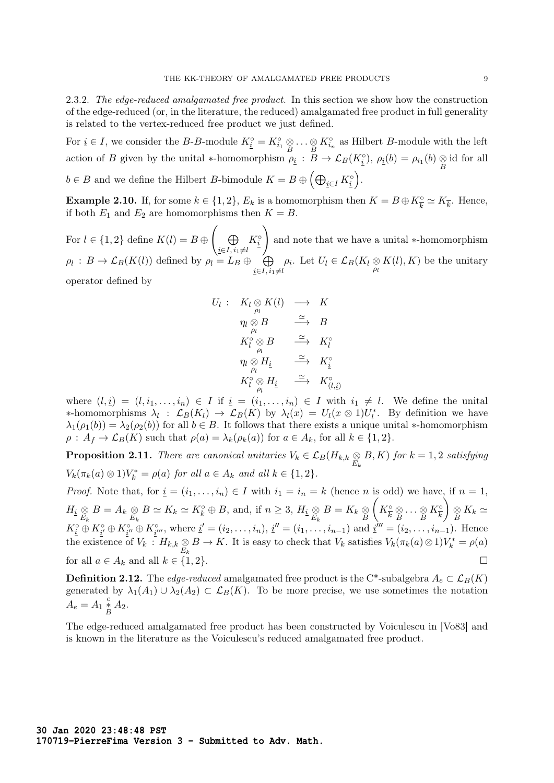2.3.2. The edge-reduced amalgamated free product. In this section we show how the construction of the edge-reduced (or, in the literature, the reduced) amalgamated free product in full generality is related to the vertex-reduced free product we just defined.

For  $\underline{i} \in I$ , we consider the B-B-module  $K_{\underline{i}}^{\circ} = K_{i_1}^{\circ} \otimes \ldots \otimes K_{i_n}^{\circ}$  as Hilbert B-module with the left action of B given by the unital \*-homomorphism  $\rho_i : \overline{B} \to \mathcal{L}_B(K_i^{\circ}), \rho_i(b) = \rho_{i_1}(b) \underset{B}{\otimes}$  id for all  $b \in B$  and we define the Hilbert B-bimodule  $K = B \oplus \left(\bigoplus_{i \in I} K_i^{\circ}\right)$ .

**Example 2.10.** If, for some  $k \in \{1, 2\}$ ,  $E_k$  is a homomorphism then  $K = B \oplus K_{\overline{k}}^{\circ} \simeq K_{\overline{k}}$ . Hence, if both  $E_1$  and  $E_2$  are homomorphisms then  $K = B$ .

For  $l \in \{1,2\}$  define  $K(l) = B \oplus$  $\sqrt{ }$  $\oplus$  $i \in I, i_1 \neq l$  $K^{\circ}_{\underline{i}}$  $\setminus$ and note that we have a unital ∗-homomorphism  $\rho_l: B \to \mathcal{L}_B(K(l))$  defined by  $\rho_l = L_B \oplus \oplus$  $i∈I, i₁≠l$  $\rho_{\underline{i}}$ . Let  $U_l \in \mathcal{L}_B(K_l \underset{\rho_l}{\otimes} K(l), K)$  be the unitary operator defined by

$$
U_l: K_l \underset{\rho_l}{\otimes} K(l) \longrightarrow K
$$
  
\n
$$
\eta_l \underset{\rho_l}{\otimes} B \xrightarrow{\simeq} B
$$
  
\n
$$
K_l^{\circ} \underset{\rho_l}{\otimes} B \xrightarrow{\simeq} K_l^{\circ}
$$
  
\n
$$
\eta_l \underset{\rho_l}{\otimes} H_i \xrightarrow{\simeq} K_i^{\circ}
$$
  
\n
$$
K_l^{\circ} \underset{\rho_l}{\otimes} H_i \xrightarrow{\simeq} K_{(l,i)}^{\circ}
$$

where  $(l, \underline{i}) = (l, i_1, \ldots, i_n) \in I$  if  $\underline{i} = (i_1, \ldots, i_n) \in I$  with  $i_1 \neq l$ . We define the unital  $\ast$ -homomorphisms  $\lambda_l$  :  $\mathcal{L}_B(K_l)$  →  $\mathcal{L}_B(K)$  by  $\lambda_l(x) = U_l(x ⊗ 1)U_l^*$ . By definition we have  $\lambda_1(\rho_1(b)) = \lambda_2(\rho_2(b))$  for all  $b \in B$ . It follows that there exists a unique unital \*-homomorphism  $\rho: A_f \to \mathcal{L}_B(K)$  such that  $\rho(a) = \lambda_k(\rho_k(a))$  for  $a \in A_k$ , for all  $k \in \{1,2\}.$ 

**Proposition 2.11.** There are canonical unitaries  $V_k \in \mathcal{L}_B(H_{k,k} \underset{E_k}{\otimes}$  $B, K$ ) for  $k = 1, 2$  satisfying  $V_k(\pi_k(a) \otimes 1)V_k^* = \rho(a)$  for all  $a \in A_k$  and all  $k \in \{1,2\}.$ 

*Proof.* Note that, for  $\underline{i} = (i_1, \ldots, i_n) \in I$  with  $i_1 = i_n = k$  (hence n is odd) we have, if  $n = 1$ ,  $H_i \underset{E_k}{\otimes} B = A_k \underset{E_k}{\otimes} B \simeq K_k \simeq K_k^{\circ} \oplus B$ , and, if  $n \geq 3$ ,  $H_i \underset{E_k}{\otimes} B = K_k \underset{B}{\otimes}$  $\left(K_{\overline{k}}^{\circ}\underset{B}{\otimes}\cdots\underset{B}{\otimes}K_{\overline{k}}^{\circ}\right)$  $\bigg\{\bigg\}\underset{B}{\otimes} K_k \simeq$  $K_i^{\circ} \oplus K_{i'}^{\circ} \oplus K_{i''}^{\circ} \oplus K_{i''}^{\circ}$ , where  $\underline{i}' = (i_2, \ldots, i_n)$ ,  $\underline{i}'' = (i_1, \ldots, i_{n-1})$  and  $\underline{i}''' = (i_2, \ldots, i_{n-1})$ . Hence the existence of  $V_k$ :  $H_{k,k} \otimes B \to K$ . It is easy to check that  $V_k$  satisfies  $V_k(\pi_k(a) \otimes 1)V_k^* = \rho(a)$ for all  $a \in A_k$  and all  $k \in \{1, 2\}$ .

**Definition 2.12.** The edge-reduced amalgamated free product is the C<sup>\*</sup>-subalgebra  $A_e \subset \mathcal{L}_B(K)$ generated by  $\lambda_1(A_1) \cup \lambda_2(A_2) \subset \mathcal{L}_B(K)$ . To be more precise, we use sometimes the notation  $A_e = A_1 \frac{e}{B} A_2.$ 

The edge-reduced amalgamated free product has been constructed by Voiculescu in [Vo83] and is known in the literature as the Voiculescu's reduced amalgamated free product.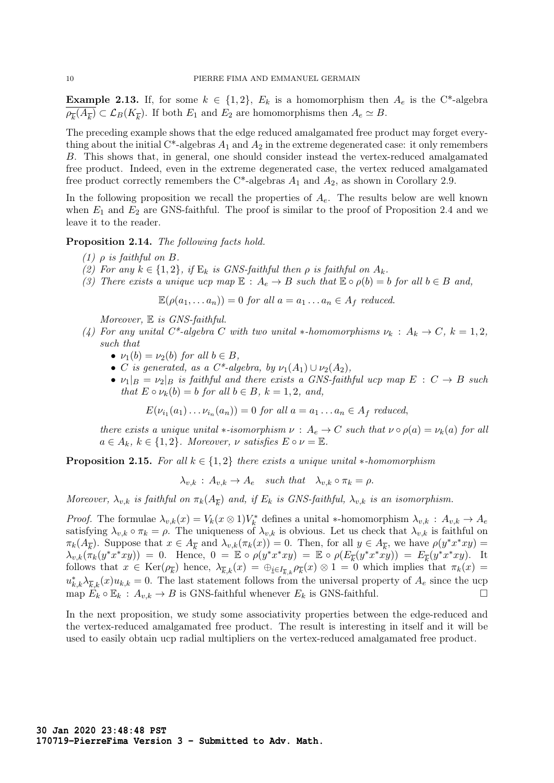**Example 2.13.** If, for some  $k \in \{1,2\}$ ,  $E_k$  is a homomorphism then  $A_e$  is the C<sup>\*</sup>-algebra  $\rho_{\overline{k}}(A_{\overline{k}}) \subset \mathcal{L}_B(K_{\overline{k}})$ . If both  $E_1$  and  $E_2$  are homomorphisms then  $A_e \simeq B$ .

The preceding example shows that the edge reduced amalgamated free product may forget everything about the initial C\*-algebras  $A_1$  and  $A_2$  in the extreme degenerated case: it only remembers B. This shows that, in general, one should consider instead the vertex-reduced amalgamated free product. Indeed, even in the extreme degenerated case, the vertex reduced amalgamated free product correctly remembers the C\*-algebras  $A_1$  and  $A_2$ , as shown in Corollary 2.9.

In the following proposition we recall the properties of  $A<sub>e</sub>$ . The results below are well known when  $E_1$  and  $E_2$  are GNS-faithful. The proof is similar to the proof of Proposition 2.4 and we leave it to the reader.

Proposition 2.14. The following facts hold.

- (1)  $\rho$  is faithful on B.
- (2) For any  $k \in \{1,2\}$ , if  $E_k$  is GNS-faithful then  $\rho$  is faithful on  $A_k$ .
- (3) There exists a unique ucp map  $\mathbb{E}: A_e \to B$  such that  $\mathbb{E} \circ \rho(b) = b$  for all  $b \in B$  and,

 $\mathbb{E}(\rho(a_1, \ldots a_n)) = 0$  for all  $a = a_1 \ldots a_n \in A_f$  reduced.

Moreover,  $E$  is GNS-faithful.

- (4) For any unital C<sup>\*</sup>-algebra C with two unital \*-homomorphisms  $\nu_k : A_k \to C$ ,  $k = 1, 2$ , such that
	- $\nu_1(b) = \nu_2(b)$  for all  $b \in B$ ,
	- C is generated, as a C\*-algebra, by  $\nu_1(A_1) \cup \nu_2(A_2)$ ,
	- $\nu_1|_B = \nu_2|_B$  is faithful and there exists a GNS-faithful ucp map  $E : C \to B$  such that  $E \circ \nu_k(b) = b$  for all  $b \in B$ ,  $k = 1, 2$ , and,

 $E(\nu_{i_1}(a_1)\dots\nu_{i_n}(a_n))=0$  for all  $a=a_1\dots a_n\in A_f$  reduced,

there exists a unique unital  $\ast$ -isomorphism  $\nu : A_e \to C$  such that  $\nu \circ \rho(a) = \nu_k(a)$  for all  $a \in A_k$ ,  $k \in \{1,2\}$ . Moreover,  $\nu$  satisfies  $E \circ \nu = \mathbb{E}$ .

**Proposition 2.15.** For all  $k \in \{1,2\}$  there exists a unique unital ∗-homomorphism

 $\lambda_{v,k}$ :  $A_{v,k} \to A_e$  such that  $\lambda_{v,k} \circ \pi_k = \rho$ .

Moreover,  $\lambda_{v,k}$  is faithful on  $\pi_k(A_{\overline{k}})$  and, if  $E_k$  is GNS-faithful,  $\lambda_{v,k}$  is an isomorphism.

*Proof.* The formulae  $\lambda_{v,k}(x) = V_k(x \otimes 1)V_k^*$  defines a unital \*-homomorphism  $\lambda_{v,k}$ :  $A_{v,k} \to A_e$ satisfying  $\lambda_{v,k} \circ \pi_k = \rho$ . The uniqueness of  $\lambda_{v,k}$  is obvious. Let us check that  $\lambda_{v,k}$  is faithful on  $\pi_k(A_{\overline{k}})$ . Suppose that  $x \in A_{\overline{k}}$  and  $\lambda_{v,k}(\pi_k(x)) = 0$ . Then, for all  $y \in A_{\overline{k}}$ , we have  $\rho(y^*x^*xy) =$  $\lambda_{v,k}(\pi_k(y^*x^*xy)) = 0$ . Hence,  $0 = \mathbb{E} \circ \rho(y^*x^*xy) = \mathbb{E} \circ \rho(E_{\overline{k}}(y^*x^*xy)) = E_{\overline{k}}(y^*x^*xy)$ . It follows that  $x \in \text{Ker}(\rho_{\overline{k}})$  hence,  $\lambda_{\overline{k},k}(x) = \bigoplus_{i \in I_{\overline{k},k}} \rho_{\overline{k}}(x) \otimes 1 = 0$  which implies that  $\pi_k(x) =$  $u_{k,k}^*\lambda_{\overline{k},k}(x)u_{k,k}=0$ . The last statement follows from the universal property of  $A_e$  since the ucp map  $E_k \circ \mathbb{E}_k : A_{v,k} \to B$  is GNS-faithful whenever  $E_k$  is GNS-faithful.

In the next proposition, we study some associativity properties between the edge-reduced and the vertex-reduced amalgamated free product. The result is interesting in itself and it will be used to easily obtain ucp radial multipliers on the vertex-reduced amalgamated free product.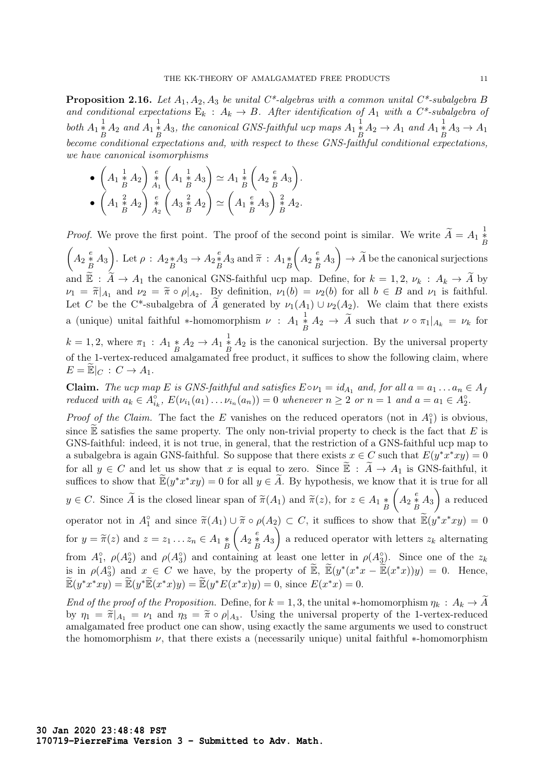**Proposition 2.16.** Let  $A_1, A_2, A_3$  be unital  $C^*$ -algebras with a common unital  $C^*$ -subalgebra B and conditional expectations  $E_k : A_k \to B$ . After identification of  $A_1$  with a  $C^*$ -subalgebra of both  $A_1 \frac{1}{B} A_2$  and  $A_1 \frac{1}{B} A_3$ , the canonical GNS-faithful ucp maps  $A_1 \frac{1}{B} A_2 \rightarrow A_1$  and  $A_1 \frac{1}{B} A_3 \rightarrow A_1$ become conditional expectations and, with respect to these GNS-faithful conditional expectations, we have canonical isomorphisms

• 
$$
\begin{pmatrix} A_1 \frac{1}{2} A_2 \end{pmatrix} \begin{pmatrix} e \\ A_1 \frac{1}{2} A_3 \end{pmatrix} \simeq A_1 \frac{1}{2} \begin{pmatrix} A_2 \frac{e}{2} A_3 \end{pmatrix}.
$$
  
\n•  $\begin{pmatrix} A_1 \frac{2}{2} A_2 \end{pmatrix} \begin{pmatrix} e \\ A_2 \frac{2}{2} A_3 \end{pmatrix} \simeq A_1 \begin{pmatrix} 1 \\ B \end{pmatrix} \simeq A_2 \begin{pmatrix} e \\ A_1 \frac{2}{2} A_3 \end{pmatrix} \simeq A_2.$ 

*Proof.* We prove the first point. The proof of the second point is similar. We write  $\widetilde{A} = A_1 \frac{1}{B}$  $\sqrt{ }$ B  $A_2 \frac{e}{B} A_3$ . Let  $\rho : A_2 * A_3 \to A_2 * A_3$  and  $\widetilde{\pi} : A_1 * B_3$  $\left(A_2\stackrel{e}{\underset{B}{*}}A_3\right)\rightarrow \widetilde{A}$  be the canonical surjections and  $\widetilde{\mathbb{E}}$ :  $\widetilde{A} \to A_1$  the canonical GNS-faithful ucp map. Define, for  $k = 1, 2, \nu_k : A_k \to \widetilde{A}$  by  $\nu_1 = \tilde{\pi}|_{A_1}$  and  $\nu_2 = \tilde{\pi} \circ \rho|_{A_2}$ . By definition,  $\nu_1(b) = \nu_2(b)$  for all  $b \in B$  and  $\nu_1$  is faithful. Let C be the C<sup>\*</sup>-subalgebra of A generated by  $\nu_1(A_1) \cup \nu_2(A_2)$ . We claim that there exists a (unique) unital faithful \*-homomorphism  $\nu$  :  $A_1 \frac{1}{B} A_2 \rightarrow \tilde{A}$  such that  $\nu \circ \pi_1|_{A_k} = \nu_k$  for

 $k = 1, 2$ , where  $\pi_1 : A_1 * A_2 \to A_1 * A_2$  is the canonical surjection. By the universal property of the 1-vertex-reduced amalgamated free product, it suffices to show the following claim, where  $E = \mathbb{E}|_C : C \to A_1.$ 

**Claim.** The ucp map E is GNS-faithful and satisfies  $E \circ \nu_1 = id_{A_1}$  and, for all  $a = a_1 \dots a_n \in A_f$ reduced with  $a_k \in A_{i_k}^{\circ}$ ,  $E(\nu_{i_1}(a_1) \ldots \nu_{i_n}(a_n)) = 0$  whenever  $n \geq 2$  or  $n = 1$  and  $a = a_1 \in A_2^{\circ}$ .

*Proof of the Claim.* The fact the E vanishes on the reduced operators (not in  $A_1^{\circ}$ ) is obvious, since  $\mathbb E$  satisfies the same property. The only non-trivial property to check is the fact that  $E$  is GNS-faithful: indeed, it is not true, in general, that the restriction of a GNS-faithful ucp map to a subalgebra is again GNS-faithful. So suppose that there exists  $x \in C$  such that  $E(y^*x^*xy) = 0$ for all  $y \in C$  and let us show that x is equal to zero. Since  $\widetilde{\mathbb{E}} : \widetilde{A} \to A_1$  is GNS-faithful, it suffices to show that  $\widetilde{\mathbb{E}}(y^*x^*xy) = 0$  for all  $y \in \widetilde{A}$ . By hypothesis, we know that it is true for all  $y \in C$ . Since A is the closed linear span of  $\widetilde{\pi}(A_1)$  and  $\widetilde{\pi}(z)$ , for  $z \in A_1 \underset{B}{*}$  $\left(A_2 \stackrel{e}{\underset{B}{*}} A_3\right)$  a reduced operator not in  $A_1^{\circ}$  and since  $\widetilde{\pi}(A_1) \cup \widetilde{\pi} \circ \rho(A_2) \subset C$ , it suffices to show that  $\widetilde{\mathbb{E}}(y^*x^*xy) = 0$ for  $y = \widetilde{\pi}(z)$  and  $z = z_1 \dots z_n \in A_1 \underset{B}{*}$  $\left(A_2\overset{e}{\underset{B}{*}}A_3\right)$  a reduced operator with letters  $z_k$  alternating from  $A_1^{\circ}$ ,  $\rho(A_2^{\circ})$  and  $\rho(A_3^{\circ})$  and containing at least one letter in  $\rho(A_3^{\circ})$ . Since one of the  $z_k$ is in  $\rho(A_3^{\circ})$  and  $x \in C$  we have, by the property of  $\widetilde{\mathbb{E}}, \ \widetilde{\mathbb{E}}(y^*(x^*x - \widetilde{\mathbb{E}}(x^*x))y) = 0$ . Hence,  $\widetilde{\mathbb{E}}(y^*x^*xy) = \widetilde{\mathbb{E}}(y^*\widetilde{\mathbb{E}}(x^*x)y) = \widetilde{\mathbb{E}}(y^*E(x^*x)y) = 0$ , since  $E(x^*x) = 0$ .

End of the proof of the Proposition. Define, for  $k = 1, 3$ , the unital  $*$ -homomorphism  $\eta_k : A_k \to \tilde{A}$ by  $\eta_1 = \tilde{\pi}|_{A_1} = \nu_1$  and  $\eta_3 = \tilde{\pi} \circ \rho|_{A_3}$ . Using the universal property of the 1-vertex-reduced<br>application of the construction can show using exactly the same arguments we used to construct amalgamated free product one can show, using exactly the same arguments we used to construct the homomorphism  $\nu$ , that there exists a (necessarily unique) unital faithful  $*$ -homomorphism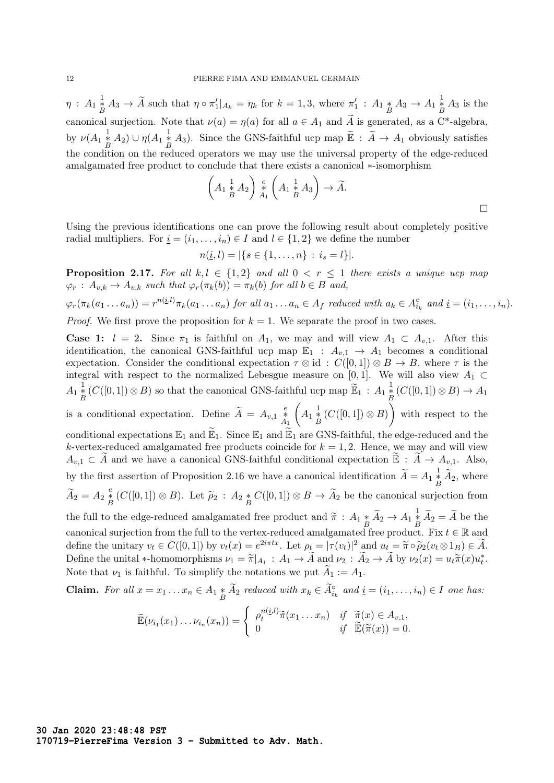$\eta$ :  $A_1 \overset{1}{\underset{B}{*}} A_3 \to \widetilde{A}$  such that  $\eta \circ \pi_1' |_{A_k} = \eta_k$  for  $k = 1, 3$ , where  $\pi_1' : A_1 \overset{*}{\underset{B}{*}} A_3 \to A_1 \overset{1}{\underset{B}{*}} A_3$  is the canonical surjection. Note that  $\nu(a) = \eta(a)$  for all  $a \in A_1$  and  $\widetilde{A}$  is generated, as a C\*-algebra, by  $\nu(A_1 \overset{1}{\underset{B}{*}} A_2) \cup \eta(A_1 \overset{1}{\underset{B}{*}} A_3)$ . Since the GNS-faithful ucp map  $\widetilde{\mathbb{E}} : \widetilde{A} \to A_1$  obviously satisfies the condition on the reduced operators we may use the universal property of the edge-reduced amalgamated free product to conclude that there exists a canonical ∗-isomorphism

$$
\left(A_1\stackrel{1}{\underset{B}{*}}A_2\right)\stackrel{e}{\underset{A_1}{*}}\left(A_1\stackrel{1}{\underset{B}{*}}A_3\right)\to \widetilde{A}.
$$

Using the previous identifications one can prove the following result about completely positive radial multipliers. For  $\underline{i} = (i_1, \ldots, i_n) \in I$  and  $l \in \{1, 2\}$  we define the number

$$
n(\underline{i}, l) = |\{s \in \{1, \ldots, n\} : i_s = l\}|.
$$

**Proposition 2.17.** For all k, l  $\in \{1,2\}$  and all  $0 \lt r \lt 1$  there exists a unique ucp map  $\varphi_r : A_{v,k} \to A_{v,k}$  such that  $\varphi_r(\pi_k(b)) = \pi_k(b)$  for all  $b \in B$  and,

$$
\varphi_r(\pi_k(a_1 \ldots a_n)) = r^{n(i,l)} \pi_k(a_1 \ldots a_n) \text{ for all } a_1 \ldots a_n \in A_f \text{ reduced with } a_k \in A_{i_k}^{\circ} \text{ and } \underline{i} = (i_1, \ldots, i_n).
$$

*Proof.* We first prove the proposition for  $k = 1$ . We separate the proof in two cases.

**Case 1:**  $l = 2$ . Since  $\pi_1$  is faithful on  $A_1$ , we may and will view  $A_1 \subset A_{v,1}$ . After this identification, the canonical GNS-faithful ucp map  $\mathbb{E}_1$  :  $A_{v,1} \to A_1$  becomes a conditional expectation. Consider the conditional expectation  $\tau \otimes id$  :  $C([0,1]) \otimes B \to B$ , where  $\tau$  is the integral with respect to the normalized Lebesgue measure on [0,1]. We will also view  $A_1 \subset$  $A_1 \overset{1}{\underset{B}{*}} (C([0,1]) \otimes B)$  so that the canonical GNS-faithful ucp map  $\widetilde{\mathbb{E}}_1 : A_1 \overset{1}{\underset{B}{*}} (C([0,1]) \otimes B) \to A_1$ is a conditional expectation. Define  $\widetilde{A} = A_{v,1} \underset{A_1}{\overset{e}{*}} A$  $\left(A_1\overset{1}{\underset{B}{*}}(C([0,1])\otimes B)\right)$  with respect to the conditional expectations  $\mathbb{E}_1$  and  $\widetilde{\mathbb{E}}_1$ . Since  $\mathbb{E}_1$  and  $\widetilde{\mathbb{E}}_1$  are GNS-faithful, the edge-reduced and the k-vertex-reduced amalgamated free products coincide for  $k = 1, 2$ . Hence, we may and will view  $A_{v,1} \subset A$  and we have a canonical GNS-faithful conditional expectation  $\mathbb{E}: A \to A_{v,1}$ . Also, by the first assertion of Proposition 2.16 we have a canonical identification  $\widetilde{A} = A_1 \frac{1}{\widetilde{B}} \widetilde{A}_2$ , where  $\widetilde{A}_2 = A_2 \frac{e}{B} (C([0,1]) \otimes B)$ . Let  $\widetilde{\rho}_2 : A_2 * C([0,1]) \otimes B \to \widetilde{A}_2$  be the canonical surjection from the full to the edge-reduced amalgamated free product and  $\widetilde{\pi}$  :  $A_1 * \widetilde{A}_2 \to A_1 * \widetilde{A}_2 = \widetilde{A}$  be the canonical surjection from the full to the vertex-reduced amalgamated free product. Fix  $t \in \mathbb{R}$  and define the unitary  $v_t \in C([0,1])$  by  $v_t(x) = e^{2i\pi tx}$ . Let  $\rho_t = |\tau(v_t)|^2$  and  $u_t = \tilde{\pi} \circ \tilde{\rho}_2(v_t \otimes 1_B) \in \tilde{A}$ .<br>Define the unital themomentiums  $u_t = \tilde{\pi} \circ \tilde{\rho}_2(v_t \otimes 1_B) \in \tilde{A}$ . Define the unital \*-homomorphisms  $\nu_1 = \tilde{\pi}|_{A_1} : A_1 \to \tilde{A}$  and  $\nu_2 : \tilde{A}_2 \to \tilde{A}$  by  $\nu_2(x) = u_t \tilde{\pi}(x) u_t^*$ . Note that  $\nu_1$  is faithful. To simplify the notations we put  $A_1 := A_1$ .

**Claim.** For all  $x = x_1 \dots x_n \in A_1 * \widetilde{A}_2$  reduced with  $x_k \in \widetilde{A}_{i_k}^{\circ}$  and  $\underline{i} = (i_1, \dots, i_n) \in I$  one has:

$$
\widetilde{\mathbb{E}}(\nu_{i_1}(x_1)\ldots\nu_{i_n}(x_n))=\begin{cases}\n\rho_t^{n(i,l)}\widetilde{\pi}(x_1\ldots x_n) & \text{if } \widetilde{\pi}(x)\in A_{v,1}, \\
0 & \text{if } \widetilde{\mathbb{E}}(\widetilde{\pi}(x))=0.\n\end{cases}
$$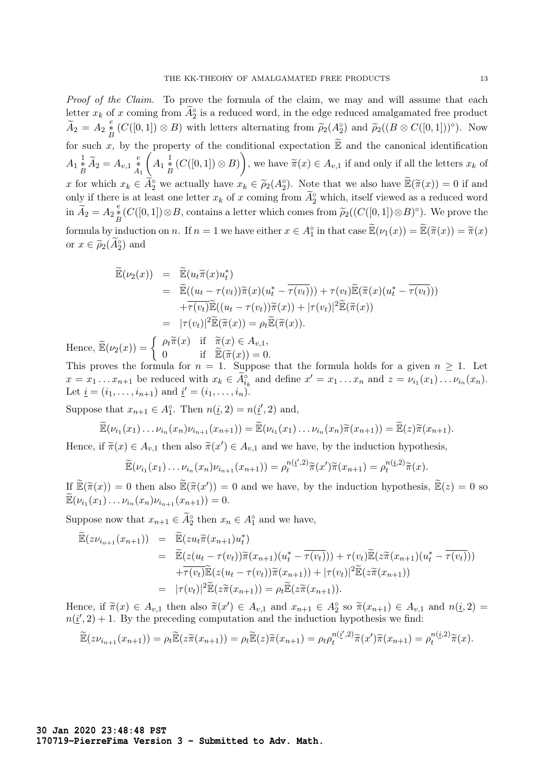Proof of the Claim. To prove the formula of the claim, we may and will assume that each letter  $x_k$  of x coming from  $\widetilde{A}_2^{\circ}$  is a reduced word, in the edge reduced amalgamated free product  $\widetilde{A}_2 = A_2 \frac{e}{B} (C([0,1]) \otimes B)$  with letters alternating from  $\widetilde{\rho}_2(A_2^{\circ})$  and  $\widetilde{\rho}_2((B \otimes C([0,1]))^{\circ})$ . Now for such x, by the property of the conditional expectation  $\widetilde{\mathbb{E}}$  and the canonical identification  $A_1 \overset{1}{\underset{B}{*}} \widetilde{A}_2 = A_{v,1} \overset{e}{\underset{A_1}{*}}$  $\left(A_1\overset{1}{\underset{B}{*}}(C([0,1])\otimes B)\right)$ , we have  $\widetilde{\pi}(x)\in A_{v,1}$  if and only if all the letters  $x_k$  of x for which  $x_k \in \widetilde{A}_2^{\circ}$  we actually have  $x_k \in \widetilde{\rho}_2(A_2^{\circ})$ . Note that we also have  $\widetilde{\mathbb{E}}(\widetilde{\pi}(x)) = 0$  if and only if there is at least are latter  $x_k$  of x coming from  $\widetilde{A}_2^{\circ}$  which itself riewed a only if there is at least one letter  $x_k$  of x coming from  $\widetilde{A}_2^{\circ}$  which, itself viewed as a reduced word in  $\widetilde{A}_2 = A_2 \frac{e}{B} (C([0,1]) \otimes B)$ , contains a letter which comes from  $\widetilde{\rho}_2((C([0,1]) \otimes B)^\circ)$ . We prove the formula by induction on n. If  $n = 1$  we have either  $x \in A_1^{\circ}$  in that case  $\mathbb{E}(\nu_1(x)) = \mathbb{E}(\tilde{\pi}(x)) = \tilde{\pi}(x)$ 

or  $x \in \widetilde{\rho}_2(\widetilde{A}_2^{\circ})$  and

$$
\widetilde{\mathbb{E}}(\nu_2(x)) = \widetilde{\mathbb{E}}(u_t \widetilde{\pi}(x)u_t^*)
$$
\n
$$
= \widetilde{\mathbb{E}}((u_t - \tau(v_t))\widetilde{\pi}(x)(u_t^* - \overline{\tau(v_t)})) + \tau(v_t)\widetilde{\mathbb{E}}(\widetilde{\pi}(x)(u_t^* - \overline{\tau(v_t)}))
$$
\n
$$
+ \overline{\tau(v_t)}\widetilde{\mathbb{E}}((u_t - \tau(v_t))\widetilde{\pi}(x)) + |\tau(v_t)|^2 \widetilde{\mathbb{E}}(\widetilde{\pi}(x))
$$
\n
$$
= |\tau(v_t)|^2 \widetilde{\mathbb{E}}(\widetilde{\pi}(x)) = \rho_t \widetilde{\mathbb{E}}(\widetilde{\pi}(x)).
$$

Hence,  $\widetilde{\mathbb{E}}(\nu_2(x)) = \begin{cases} \rho_t \widetilde{\pi}(x) & \text{if } \widetilde{\pi}(x) \in A_{v,1}, \\ 0 & \text{if } \widetilde{\mathbb{E}}(\widetilde{\pi}(x)) = 0 \end{cases}$ 0 if  $\widetilde{\mathbb{E}}(\widetilde{\pi}(x)) = 0.$ 

This proves the formula for  $n = 1$ . Suppose that the formula holds for a given  $n \geq 1$ . Let  $x = x_1 \dots x_{n+1}$  be reduced with  $x_k \in \widetilde{A}_{i_k}^{\circ}$  and define  $x' = x_1 \dots x_n$  and  $z = \nu_{i_1}(x_1) \dots \nu_{i_n}(x_n)$ . Let  $\underline{i} = (i_1, \ldots, i_{n+1})$  and  $\underline{i}' = (i_1, \ldots, i_n)$ .

Suppose that  $x_{n+1} \in A_1^{\circ}$ . Then  $n(\underline{i}, 2) = n(\underline{i}', 2)$  and,

$$
\widetilde{\mathbb{E}}(\nu_{i_1}(x_1)\ldots\nu_{i_n}(x_n)\nu_{i_{n+1}}(x_{n+1})) = \widetilde{\mathbb{E}}(\nu_{i_1}(x_1)\ldots\nu_{i_n}(x_n)\widetilde{\pi}(x_{n+1})) = \widetilde{\mathbb{E}}(z)\widetilde{\pi}(x_{n+1}).
$$

Hence, if  $\tilde{\pi}(x) \in A_{v,1}$  then also  $\tilde{\pi}(x') \in A_{v,1}$  and we have, by the induction hypothesis,

$$
\widetilde{\mathbb{E}}(\nu_{i_1}(x_1)\ldots \nu_{i_n}(x_n)\nu_{i_{n+1}}(x_{n+1})) = \rho_t^{n(\underline{i}',2)}\widetilde{\pi}(x')\widetilde{\pi}(x_{n+1}) = \rho_t^{n(\underline{i},2)}\widetilde{\pi}(x).
$$

If  $\mathbb{E}(\tilde{\pi}(x)) = 0$  then also  $\mathbb{E}(\tilde{\pi}(x')) = 0$  and we have, by the induction hypothesis,  $\mathbb{E}(z) = 0$  so  $\mathbb{E}(z, (x)) = 0$  (x) by  $(x, y) = 0$  $\widetilde{\mathbb{E}}(\nu_{i_1}(x_1)\ldots \nu_{i_n}(x_n)\nu_{i_{n+1}}(x_{n+1}))=0.$ 

Suppose now that  $x_{n+1} \in \widetilde{A}_2^{\circ}$  then  $x_n \in A_1^{\circ}$  and we have,

$$
\widetilde{\mathbb{E}}(z\nu_{i_{n+1}}(x_{n+1})) = \widetilde{\mathbb{E}}(zu_{t}\widetilde{\pi}(x_{n+1})u_{t}^{*})
$$
\n
$$
= \widetilde{\mathbb{E}}(z(u_{t}-\tau(v_{t}))\widetilde{\pi}(x_{n+1})(u_{t}^{*}-\overline{\tau(v_{t})})) + \tau(v_{t})\widetilde{\mathbb{E}}(z\widetilde{\pi}(x_{n+1})(u_{t}^{*}-\overline{\tau(v_{t})}))
$$
\n
$$
+ \overline{\tau(v_{t})}\widetilde{\mathbb{E}}(z(u_{t}-\tau(v_{t}))\widetilde{\pi}(x_{n+1})) + |\tau(v_{t})|^{2}\widetilde{\mathbb{E}}(z\widetilde{\pi}(x_{n+1}))
$$
\n
$$
= |\tau(v_{t})|^{2}\widetilde{\mathbb{E}}(z\widetilde{\pi}(x_{n+1})) = \rho_{t}\widetilde{\mathbb{E}}(z\widetilde{\pi}(x_{n+1})).
$$

Hence, if  $\tilde{\pi}(x) \in A_{v,1}$  then also  $\tilde{\pi}(x') \in A_{v,1}$  and  $x_{n+1} \in A_2^{\circ}$  so  $\tilde{\pi}(x_{n+1}) \in A_{v,1}$  and  $n(\underline{i}, 2) = n(\underline{i}', 2) + 1$ . By the preceding computation and the induction hypothesis we find:  $n(\underline{i}', 2) + 1$ . By the preceding computation and the induction hypothesis we find:

$$
\widetilde{\mathbb{E}}(z\nu_{i_{n+1}}(x_{n+1})) = \rho_t \widetilde{\mathbb{E}}(z\widetilde{\pi}(x_{n+1})) = \rho_t \widetilde{\mathbb{E}}(z)\widetilde{\pi}(x_{n+1}) = \rho_t \rho_t^{n(\underline{i}',2)}\widetilde{\pi}(x')\widetilde{\pi}(x_{n+1}) = \rho_t^{n(\underline{i},2)}\widetilde{\pi}(x).
$$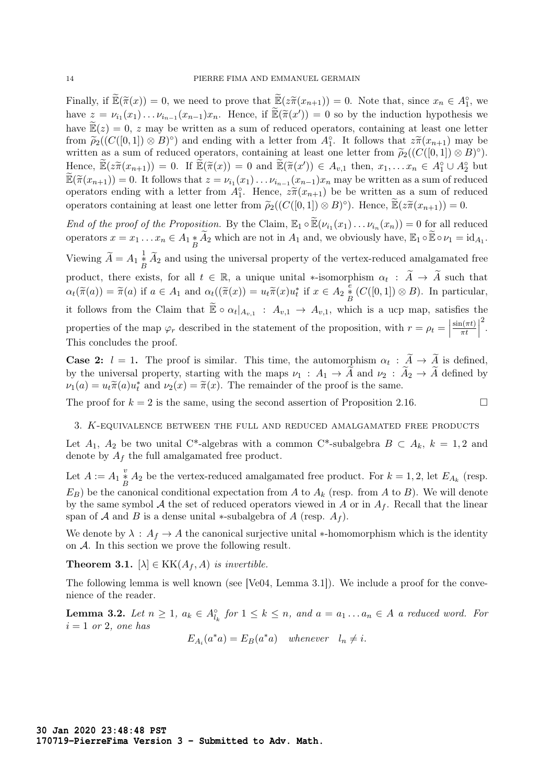Finally, if  $\mathbb{E}(\tilde{\pi}(x)) = 0$ , we need to prove that  $\mathbb{E}(z\tilde{\pi}(x_{n+1})) = 0$ . Note that, since  $x_n \in A_1^{\circ}$ , we have  $\mathbb{E}(z_n(x_n)) = 0$ . Note that, since  $x_n \in A_1^{\circ}$ , we have  $z = \nu_{i_1}(x_1) \dots \nu_{i_{n-1}}(x_{n-1}) x_n$ . Hence, if  $\widetilde{\mathbb{E}}(\widetilde{\pi}(x')) = 0$  so by the induction hypothesis we have  $\widetilde{\mathbb{E}}(z) = 0$ , z may be written as a sum of reduced operators, containing at least one letter from  $\tilde{\rho}_2((C([0,1]) \otimes B)^\circ)$  and ending with a letter from  $A_1^\circ$ . It follows that  $z\tilde{\pi}(x_{n+1})$  may be<br>written as a sum of reduced operators, containing at losst one letter from  $\tilde{\rho}_2((C([0,1]) \otimes B)^\circ)$ written as a sum of reduced operators, containing at least one letter from  $\tilde{\rho}_2((C([0,1])\otimes B)^{\circ})$ .<br>Hence  $\tilde{\mathbb{F}}(\tilde{\alpha}(m))=0$ , if  $\tilde{\mathbb{F}}(\tilde{\alpha}(m))=0$  and  $\tilde{\mathbb{F}}(\tilde{\alpha}(m'))\subset A$ , then  $\tilde{\alpha}=C^{-4\circ+1.4\circ+1.4\circ+1.4\circ+1.$ Hence,  $\widetilde{\mathbb{E}}(\widetilde{z}\widetilde{\pi}(x_{n+1})) = 0$ . If  $\widetilde{\mathbb{E}}(\widetilde{\pi}(x)) = 0$  and  $\widetilde{\mathbb{E}}(\widetilde{\pi}(x')) \in A_{v,1}$  then,  $x_1, \ldots x_n \in A_1^{\circ} \cup A_2^{\circ}$  but  $\widetilde{\mathbb{E}}(\widetilde{\pi}(x_{n+1})) = 0$ . It follows that  $z = \nu_{i_1}(x_1) \dots \nu_{i_{n-1}}(x_{n-1}) x_n$  may be written as a sum of reduced operators ending with a letter from  $A_1^{\circ}$ . Hence,  $z\tilde{\pi}(x_{n+1})$  be be written as a sum of reduced operators containing at least one letter from  $\widetilde{\rho}_2((C([0,1]) \otimes B)^\circ)$ . Hence,  $\widetilde{\mathbb{E}}(z\widetilde{\pi}(x_{n+1})) = 0$ .

End of the proof of the Proposition. By the Claim,  $\mathbb{E}_1 \circ \widetilde{\mathbb{E}}(\nu_{i_1}(x_1) \dots \nu_{i_n}(x_n)) = 0$  for all reduced operators  $x = x_1 \dots x_n \in A_1 * \widetilde{A}_2$  which are not in  $A_1$  and, we obviously have,  $\mathbb{E}_1 \circ \widetilde{\mathbb{E}} \circ \nu_1 = \mathrm{id}_{A_1}$ . Viewing  $\widetilde{A} = A_1 \frac{1}{B} \widetilde{A}_2$  and using the universal property of the vertex-reduced amalgamated free product, there exists, for all  $t \in \mathbb{R}$ , a unique unital \*-isomorphism  $\alpha_t : \tilde{A} \to \tilde{A}$  such that  $\alpha_t(\tilde{\pi}(a)) = \tilde{\pi}(a)$  if  $a \in A_1$  and  $\alpha_t((\tilde{\pi}(x)) = u_t\tilde{\pi}(x)u_t^*$  if  $x \in A_2 \overset{\tilde{e}}{\underset{B}{*}} (C([0,1]) \otimes B)$ . In particular, it follows from the Claim that  $\widetilde{\mathbb{E}} \circ \alpha_t |_{A_{v,1}} : A_{v,1} \to A_{v,1}$ , which is a ucp map, satisfies the properties of the map  $\varphi_r$  described in the statement of the proposition, with  $r = \rho_t =$  $\sin(\pi t)$  $\frac{n(\pi t)}{\pi t}$ 2 . This concludes the proof.

**Case 2:**  $l = 1$ . The proof is similar. This time, the automorphism  $\alpha_t : A \to A$  is defined, by the universal property, starting with the maps  $\nu_1 : A_1 \to \tilde{A}$  and  $\nu_2 : \tilde{A}_2 \to \tilde{A}$  defined by  $\nu_1(a) = u_t \tilde{\pi}(a) u_t^*$  and  $\nu_2(x) = \tilde{\pi}(x)$ . The remainder of the proof is the same.

The proof for  $k = 2$  is the same, using the second assertion of Proposition 2.16.

### 3. K-equivalence between the full and reduced amalgamated free products

Let  $A_1$ ,  $A_2$  be two unital C<sup>\*</sup>-algebras with a common C<sup>\*</sup>-subalgebra  $B \subset A_k$ ,  $k = 1, 2$  and denote by  $A_f$  the full amalgamated free product.

Let  $A := A_1 \stackrel{v}{\underset{B}{*}} A_2$  be the vertex-reduced amalgamated free product. For  $k = 1, 2$ , let  $E_{A_k}$  (resp.  $E_B$ ) be the canonical conditional expectation from A to  $A_k$  (resp. from A to B). We will denote by the same symbol  $A$  the set of reduced operators viewed in  $A$  or in  $A_f$ . Recall that the linear span of A and B is a dense unital  $\ast$ -subalgebra of A (resp.  $A_f$ ).

We denote by  $\lambda : A_f \to A$  the canonical surjective unital \*-homomorphism which is the identity on A. In this section we prove the following result.

**Theorem 3.1.**  $[\lambda] \in KK(A_f, A)$  is invertible.

The following lemma is well known (see [Ve04, Lemma 3.1]). We include a proof for the convenience of the reader.

**Lemma 3.2.** Let  $n \geq 1$ ,  $a_k \in A_{l_k}^{\circ}$  for  $1 \leq k \leq n$ , and  $a = a_1 \dots a_n \in A$  a reduced word. For  $i = 1$  or 2, one has

 $E_{A_i}(a^*a) = E_B(a^*a)$  whenever  $l_n \neq i$ .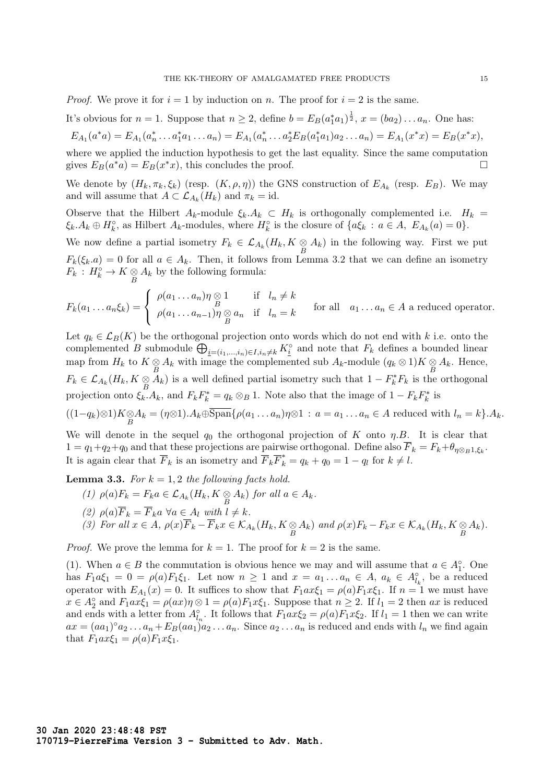*Proof.* We prove it for  $i = 1$  by induction on n. The proof for  $i = 2$  is the same.

It's obvious for  $n = 1$ . Suppose that  $n \geq 2$ , define  $b = E_B(a_1^*a_1)^{\frac{1}{2}}$ ,  $x = (ba_2) \dots a_n$ . One has:

$$
E_{A_1}(a^*a) = E_{A_1}(a_n^* \dots a_1^* a_1 \dots a_n) = E_{A_1}(a_n^* \dots a_2^* E_B(a_1^* a_1) a_2 \dots a_n) = E_{A_1}(x^* x) = E_B(x^* x),
$$

where we applied the induction hypothesis to get the last equality. Since the same computation gives  $E_B(a^*a) = E_B(x^*x)$ , this concludes the proof.

We denote by  $(H_k, \pi_k, \xi_k)$  (resp.  $(K, \rho, \eta)$ ) the GNS construction of  $E_{A_k}$  (resp.  $E_B$ ). We may and will assume that  $A \subset \mathcal{L}_{A_k}(H_k)$  and  $\pi_k = \text{id}$ .

Observe that the Hilbert  $A_k$ -module  $\xi_k.A_k \subset H_k$  is orthogonally complemented i.e.  $H_k =$  $\xi_k \cdot A_k \oplus H_k^{\circ}$ , as Hilbert  $A_k$ -modules, where  $H_k^{\circ}$  is the closure of  $\{a\xi_k : a \in A, E_{A_k}(a) = 0\}$ .

We now define a partial isometry  $F_k \in \mathcal{L}_{A_k}(H_k, K \underset{B}{\otimes} A_k)$  in the following way. First we put  $F_k(\xi_k.a) = 0$  for all  $a \in A_k$ . Then, it follows from Lemma 3.2 that we can define an isometry  $F_k: H_k^{\circ} \to K \underset{B}{\otimes} A_k$  by the following formula:

$$
F_k(a_1 \ldots a_n \xi_k) = \begin{cases} \rho(a_1 \ldots a_n) \eta \otimes 1 & \text{if } l_n \neq k \\ \rho(a_1 \ldots a_{n-1}) \eta \otimes a_n & \text{if } l_n = k \end{cases} \quad \text{for all } a_1 \ldots a_n \in A \text{ a reduced operator.}
$$

Let  $q_k \in \mathcal{L}_B(K)$  be the orthogonal projection onto words which do not end with k i.e. onto the complemented B submodule  $\bigoplus_{i=(i_1,\ldots,i_n)\in I,i_n\neq k} K_i^{\circ}$  and note that  $F_k$  defines a bounded linear map from  $H_k$  to  $K \underset{B}{\otimes} A_k$  with image the complemented sub  $A_k$ -module  $(q_k \otimes 1)K \underset{B}{\otimes} A_k$ . Hence,  $F_k \in \mathcal{L}_{A_k}(H_k, K \underset{B}{\otimes} \overline{A}_k)$  is a well defined partial isometry such that  $1 - F_k^* F_k$  is the orthogonal projection onto  $\xi_k.A_k$ , and  $F_kF_k^* = q_k \otimes_B 1$ . Note also that the image of  $1 - F_kF_k^*$  is  $((1-q_k)\otimes 1)K\underset{B}{\otimes}A_k = (\eta\otimes 1).A_k\oplus \text{Span}\{\rho(a_1\ldots a_n)\eta\otimes 1\,:\,a=a_1\ldots a_n\in A \text{ reduced with }l_n=k\}.A_k.$ 

We will denote in the sequel  $q_0$  the orthogonal projection of K onto  $\eta.B.$  It is clear that  $1 = q_1 + q_2 + q_0$  and that these projections are pairwise orthogonal. Define also  $F_k = F_k + \theta_{\eta \otimes_B 1, \xi_k}$ . It is again clear that  $\overline{F}_k$  is an isometry and  $\overline{F}_k \overline{F}_k^* = q_k + q_0 = 1 - q_l$  for  $k \neq l$ .

**Lemma 3.3.** For  $k = 1, 2$  the following facts hold.

(1)  $\rho(a)F_k = F_ka \in \mathcal{L}_{A_k}(H_k, K \otimes A_k)$  for all  $a \in A_k$ . B (2)  $\rho(a)\overline{F}_k = \overline{F}_k a \ \forall a \in A_l \ with \ l \neq k.$ (3) For all  $x \in A$ ,  $\rho(x)\overline{F}_k - \overline{F}_k x \in \mathcal{K}_{A_k}(H_k, K \underset{B}{\otimes} A_k)$  and  $\rho(x)\overline{F}_k - \overline{F}_k x \in \mathcal{K}_{A_k}(H_k, K \underset{B}{\otimes} A_k)$ .

*Proof.* We prove the lemma for  $k = 1$ . The proof for  $k = 2$  is the same.

(1). When  $a \in B$  the commutation is obvious hence we may and will assume that  $a \in A_1^{\circ}$ . One has  $F_1a\xi_1 = 0 = \rho(a)F_1\xi_1$ . Let now  $n \ge 1$  and  $x = a_1 \ldots a_n \in A$ ,  $a_k \in A_{l_k}^{\circ}$ , be a reduced operator with  $E_{A_1}(x) = 0$ . It suffices to show that  $F_1ax\xi_1 = \rho(a)F_1x\xi_1$ . If  $n = 1$  we must have  $x \in A_2^{\circ}$  and  $F_1ax\xi_1 = \rho(ax)\eta \otimes 1 = \rho(a)F_1x\xi_1$ . Suppose that  $n \geq 2$ . If  $l_1 = 2$  then  $ax$  is reduced and ends with a letter from  $A_{l_n}^{\circ}$ . It follows that  $F_1ax\xi_2 = \rho(a)F_1x\xi_2$ . If  $l_1 = 1$  then we can write  $ax = (aa_1)^{\circ} a_2 \ldots a_n + E_B(aa_1)a_2 \ldots a_n$ . Since  $a_2 \ldots a_n$  is reduced and ends with  $l_n$  we find again that  $F_1ax\xi_1 = \rho(a)F_1x\xi_1$ .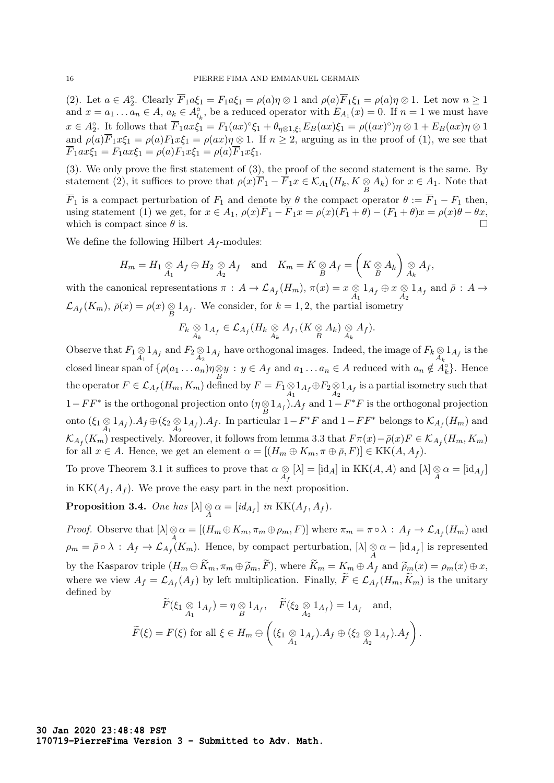(2). Let  $a \in A_2^{\circ}$ . Clearly  $\overline{F}_1 a \xi_1 = F_1 a \xi_1 = \rho(a) \eta \otimes 1$  and  $\rho(a) \overline{F}_1 \xi_1 = \rho(a) \eta \otimes 1$ . Let now  $n \ge 1$ and  $x = a_1 \dots a_n \in A$ ,  $a_k \in A_{l_k}^{\circ}$ , be a reduced operator with  $E_{A_1}(x) = 0$ . If  $n = 1$  we must have  $x \in A_2^{\circ}$ . It follows that  $\overline{F}_1ax\xi_1 = F_1(ax)^{\circ}\xi_1 + \theta_{\eta\otimes 1,\xi_1}E_B(ax)\xi_1 = \rho((ax)^{\circ})\eta \otimes 1 + E_B(ax)\eta \otimes 1$ and  $\rho(a)\overline{F}_1x\xi_1 = \rho(a)F_1x\xi_1 = \rho(ax)\eta \otimes 1$ . If  $n \ge 2$ , arguing as in the proof of (1), we see that  $\overline{F}_1ax\xi_1 = F_1ax\xi_1 = \rho(a)F_1x\xi_1 = \rho(a)\overline{F}_1x\xi_1.$ 

(3). We only prove the first statement of (3), the proof of the second statement is the same. By statement (2), it suffices to prove that  $\rho(x)\overline{F}_1 - \overline{F}_1x \in \mathcal{K}_{A_1}(H_k, K \underset{B}{\otimes} A_k)$  for  $x \in A_1$ . Note that

 $\overline{F}_1$  is a compact perturbation of  $F_1$  and denote by  $\theta$  the compact operator  $\theta := \overline{F}_1 - F_1$  then, using statement (1) we get, for  $x \in A_1$ ,  $\rho(x)\overline{F}_1 - \overline{F}_1x = \rho(x)(F_1 + \theta) - (F_1 + \theta)x = \rho(x)\theta - \theta x$ , which is compact since  $\theta$  is.

We define the following Hilbert  $A_f$ -modules:

$$
H_m = H_1 \underset{A_1}{\otimes} A_f \oplus H_2 \underset{A_2}{\otimes} A_f \quad \text{and} \quad K_m = K \underset{B}{\otimes} A_f = \left( K \underset{B}{\otimes} A_k \right) \underset{A_k}{\otimes} A_f,
$$

with the canonical representations  $\pi$  :  $A \to \mathcal{L}_{A_f}(H_m)$ ,  $\pi(x) = x \underset{A_1}{\otimes} 1_{A_f} \oplus x \underset{A_2}{\otimes} 1_{A_f}$  and  $\bar{\rho}$  :  $A \to \bar{\rho}$  $\mathcal{L}_{A_f}(K_m)$ ,  $\bar{\rho}(x) = \rho(x) \underset{B}{\otimes} 1_{A_f}$ . We consider, for  $k = 1, 2$ , the partial isometry

$$
F_k \underset{A_k}{\otimes} 1_{A_f} \in \mathcal{L}_{A_f}(H_k \underset{A_k}{\otimes} A_f, (K \underset{B}{\otimes} A_k) \underset{A_k}{\otimes} A_f).
$$

Observe that  $F_1 \otimes 1_{A_f}$  and  $F_2 \otimes 1_{A_f}$  have orthogonal images. Indeed, the image of  $F_k \otimes 1_{A_f}$  is the closed linear span of  $\{\rho(a_1 \ldots a_n)\eta \otimes y : y \in A_f \text{ and } a_1 \ldots a_n \in A \text{ reduced with } a_n \notin A_k^{\circ}\}\.$  Hence the operator  $F \in \mathcal{L}_{A_f}(H_m, K_m)$  defined by  $F = F_1 \otimes 1_{A_f} \oplus F_2 \otimes 1_{A_f}$  is a partial isometry such that  $1 - FF^*$  is the orthogonal projection onto  $(η \otimes 1_{A_f})$ . A<sub>f</sub> and  $1 - F^*F$  is the orthogonal projection onto  $(\xi_1 \otimes 1_{A_f})$ .  $A_f \oplus (\xi_2 \otimes 1_{A_f})$ . A<sub>f</sub>. In particular  $1 - F^*F$  and  $1 - FF^*$  belongs to  $\mathcal{K}_{A_f}(H_m)$  and  $\mathcal{K}_{A_f}(K_m)$  respectively. Moreover, it follows from lemma 3.3 that  $F\pi(x) - \bar{\rho}(x)F \in \mathcal{K}_{A_f}(H_m, K_m)$ for all  $x \in A$ . Hence, we get an element  $\alpha = [(H_m \oplus K_m, \pi \oplus \overline{\rho}, F)] \in KK(A, A_f)$ .

To prove Theorem 3.1 it suffices to prove that  $\alpha \otimes$  $\underset{A_f}{\otimes} [\lambda] = [\text{id}_A]$  in  $KK(A, A)$  and  $[\lambda] \underset{A}{\otimes} \alpha = [\text{id}_{A_f}]$ in  $KK(A_f, A_f)$ . We prove the easy part in the next proposition.

**Proposition 3.4.** One has  $[\lambda] \underset{A}{\otimes} \alpha = [id_{A_f}]$  in  $KK(A_f, A_f)$ .

*Proof.* Observe that  $[\lambda] \underset{A}{\otimes} \alpha = [(H_m \oplus K_m, \pi_m \oplus \rho_m, F)]$  where  $\pi_m = \pi \circ \lambda : A_f \to \mathcal{L}_{A_f}(H_m)$  and  $\rho_m = \bar{\rho} \circ \lambda : A_f \to \mathcal{L}_{A_f}(K_m)$ . Hence, by compact perturbation,  $[\lambda] \underset{A}{\otimes} \alpha - [\text{id}_{A_f}]$  is represented by the Kasparov triple  $(H_m \oplus \widetilde{K}_m, \pi_m \oplus \widetilde{\rho}_m, \widetilde{F})$ , where  $\widetilde{K}_m = K_m \oplus A_f$  and  $\widetilde{\rho}_m(x) = \rho_m(x) \oplus x$ , where we view  $A_f = \mathcal{L}_{A_f}(A_f)$  by left multiplication. Finally,  $F \in \mathcal{L}_{A_f}(H_m, K_m)$  is the unitary defined by

$$
\widetilde{F}(\xi_1 \underset{A_1}{\otimes} 1_{A_f}) = \eta \underset{B}{\otimes} 1_{A_f}, \quad \widetilde{F}(\xi_2 \underset{A_2}{\otimes} 1_{A_f}) = 1_{A_f} \text{ and},
$$
  

$$
\widetilde{F}(\xi) = F(\xi) \text{ for all } \xi \in H_m \ominus \left( (\xi_1 \underset{A_1}{\otimes} 1_{A_f}).A_f \oplus (\xi_2 \underset{A_2}{\otimes} 1_{A_f}).A_f \right).
$$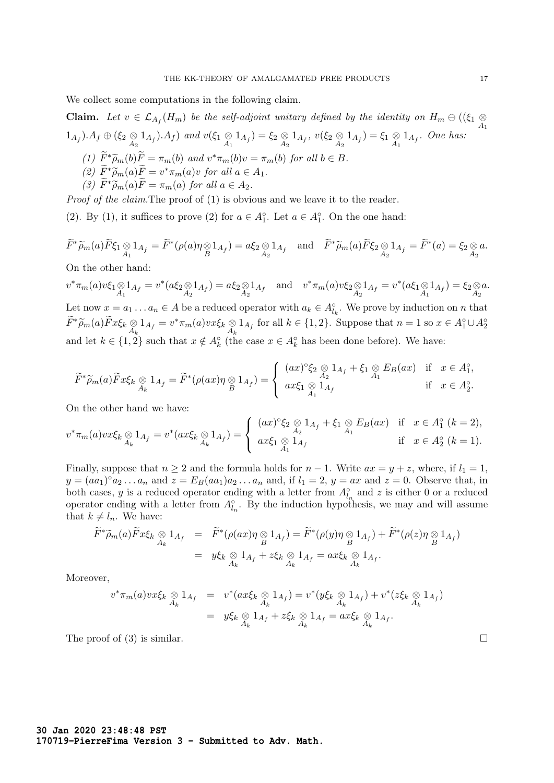We collect some computations in the following claim.

**Claim.** Let  $v \in \mathcal{L}_{A_f}(H_m)$  be the self-adjoint unitary defined by the identity on  $H_m \ominus ((\xi_1 \underset{A_1}{\otimes}$  $(1_{A_f}) \cdot A_f \oplus (\xi_2 \underset{A_2}{\otimes} 1_{A_f}) \cdot A_f)$  and  $v(\xi_1 \underset{A_1}{\otimes} 1_{A_f}) = \xi_2 \underset{A_2}{\otimes} 1_{A_f}$ ,  $v(\xi_2 \underset{A_2}{\otimes} 1_{A_f}) = \xi_1 \underset{A_1}{\otimes} 1_{A_f}$ . One has:

- (1)  $\widetilde{F}^* \widetilde{\rho}_m(b) \widetilde{F} = \pi_m(b)$  and  $v^* \pi_m(b) v = \pi_m(b)$  for all  $b \in B$ .
- (2)  $\widetilde{F}^*\widetilde{\rho}_m(a)\widetilde{F}=v^*\pi_m(a)v$  for all  $a\in A_1$ .<br>(3)  $\widetilde{F}^*\widetilde{\sim}$  (5)  $\widetilde{F}=\{\infty\}$  for all  $a\in A$ .
- (3)  $\widetilde{F}^*\widetilde{\rho}_m(a)\widetilde{F}=\pi_m(a)$  for all  $a\in A_2$ .

Proof of the claim. The proof of (1) is obvious and we leave it to the reader.

(2). By (1), it suffices to prove (2) for  $a \in A_1^{\circ}$ . Let  $a \in A_1^{\circ}$ . On the one hand:

$$
\widetilde{F}^*\widetilde{\rho}_m(a)\widetilde{F}\xi_1\underset{A_1}{\otimes}1_{A_f}=\widetilde{F}^*(\rho(a)\eta\underset{B}{\otimes}1_{A_f})=a\xi_2\underset{A_2}{\otimes}1_{A_f}\quad\text{and}\quad\widetilde{F}^*\widetilde{\rho}_m(a)\widetilde{F}\xi_2\underset{A_2}{\otimes}1_{A_f}=\widetilde{F}^*(a)=\xi_2\underset{A_2}{\otimes}a.
$$

On the other hand:

 $v^*\pi_m(a)v\xi_1\otimes 1_{A_f} = v^*(a\xi_2\otimes 1_{A_f}) = a\xi_2\otimes 1_{A_f}$  and  $v^*\pi_m(a)v\xi_2\otimes 1_{A_f} = v^*(a\xi_1\otimes 1_{A_f}) = \xi_2\otimes 1_{A_2}$ a. Let now  $x = a_1 \dots a_n \in A$  be a reduced operator with  $a_k \in A_{l_k}^{\circ}$ . We prove by induction on n that  $\widetilde{F}^*\widetilde{\rho}_m(a)\widetilde{F}x\xi_k\underset{A_k}{\otimes}1_{A_f}=v^*\pi_m(a)v x\xi_k\underset{A_k}{\otimes}1_{A_f}$  for all  $k\in\{1,2\}$ . Suppose that  $n=1$  so  $x\in A_1^{\circ}\cup A_2^{\circ}$ and let  $k \in \{1,2\}$  such that  $x \notin A_k^{\circ}$  (the case  $x \in A_k^{\circ}$  has been done before). We have:

$$
\widetilde{F}^*\widetilde{\rho}_m(a)\widetilde{F}x\xi_k \underset{A_k}{\otimes} 1_{A_f} = \widetilde{F}^*(\rho(ax)\eta \underset{B}{\otimes} 1_{A_f}) = \left\{ \begin{array}{ll} (ax)^{\circ}\xi_2 \underset{A_2}{\otimes} 1_{A_f} + \xi_1 \underset{A_1}{\otimes} E_B(ax) & \text{if } x \in A_1^{\circ}, \\ ax\xi_1 \underset{A_1}{\otimes} 1_{A_f} & \text{if } x \in A_2^{\circ}. \end{array} \right.
$$

On the other hand we have:

$$
v^*\pi_m(a)vx\xi_k\underset{A_k}{\otimes}1_{A_f}=v^*(ax\xi_k\underset{A_k}{\otimes}1_{A_f})=\begin{cases} (ax)^{\circ}\xi_2\underset{A_2}{\otimes}1_{A_f}+\xi_1\underset{A_1}{\otimes}E_B(ax) & \text{if } x\in A_1^{\circ}(k=2),\\ ax\xi_1\underset{A_1}{\otimes}1_{A_f} & \text{if } x\in A_2^{\circ}(k=1). \end{cases}
$$

Finally, suppose that  $n \geq 2$  and the formula holds for  $n-1$ . Write  $ax = y + z$ , where, if  $l_1 = 1$ ,  $y = (aa_1)^{\circ} a_2 \dots a_n$  and  $z = E_B(aa_1)a_2 \dots a_n$  and, if  $l_1 = 2$ ,  $y = ax$  and  $z = 0$ . Observe that, in both cases, y is a reduced operator ending with a letter from  $A_{l_n}^{\circ}$  and z is either 0 or a reduced operator ending with a letter from  $A_{l_n}^{\circ}$ . By the induction hypothesis, we may and will assume that  $k \neq l_n$ . We have:

$$
\widetilde{F}^*\widetilde{\rho}_m(a)\widetilde{F}x\xi_k \underset{A_k}{\otimes} 1_{A_f} = \widetilde{F}^*(\rho(ax)\eta \underset{B}{\otimes} 1_{A_f}) = \widetilde{F}^*(\rho(y)\eta \underset{B}{\otimes} 1_{A_f}) + \widetilde{F}^*(\rho(z)\eta \underset{B}{\otimes} 1_{A_f})
$$
  
\n
$$
= y\xi_k \underset{A_k}{\otimes} 1_{A_f} + z\xi_k \underset{A_k}{\otimes} 1_{A_f} = ax\xi_k \underset{A_k}{\otimes} 1_{A_f}.
$$

Moreover,

$$
v^* \pi_m(a) v x \xi_k \underset{A_k}{\otimes} 1_{A_f} = v^* (ax \xi_k \underset{A_k}{\otimes} 1_{A_f}) = v^* (y \xi_k \underset{A_k}{\otimes} 1_{A_f}) + v^* (z \xi_k \underset{A_k}{\otimes} 1_{A_f})
$$
  
=  $y \xi_k \underset{A_k}{\otimes} 1_{A_f} + z \xi_k \underset{A_k}{\otimes} 1_{A_f} = ax \xi_k \underset{A_k}{\otimes} 1_{A_f}.$ 

The proof of (3) is similar.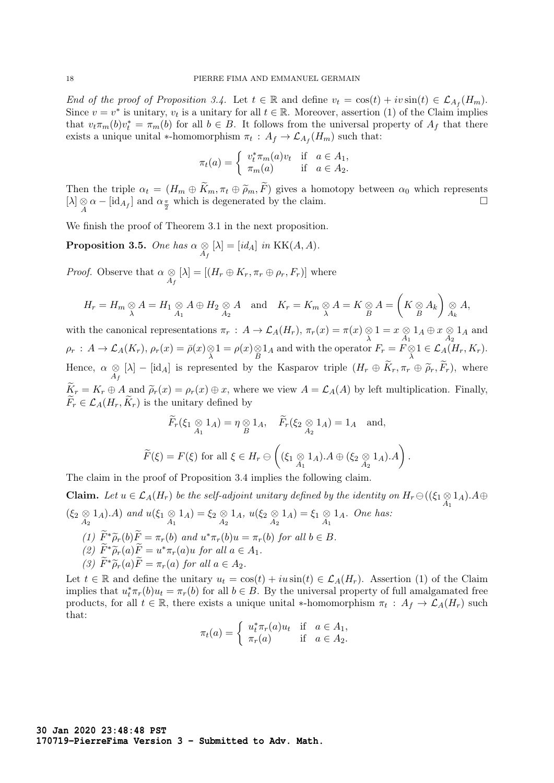End of the proof of Proposition 3.4. Let  $t \in \mathbb{R}$  and define  $v_t = \cos(t) + iv \sin(t) \in \mathcal{L}_{A_f}(H_m)$ . Since  $v = v^*$  is unitary,  $v_t$  is a unitary for all  $t \in \mathbb{R}$ . Moreover, assertion (1) of the Claim implies that  $v_t \pi_m(b) v_t^* = \pi_m(b)$  for all  $b \in B$ . It follows from the universal property of  $A_f$  that there exists a unique unital \*-homomorphism  $\pi_t$ :  $A_f \to \mathcal{L}_{A_f}(H_m)$  such that:

$$
\pi_t(a) = \begin{cases} v_t^* \pi_m(a) v_t & \text{if } a \in A_1, \\ \pi_m(a) & \text{if } a \in A_2. \end{cases}
$$

Then the triple  $\alpha_t = (H_m \oplus K_m, \pi_t \oplus \widetilde{\rho}_m, F)$  gives a homotopy between  $\alpha_0$  which represents  $[\lambda] \otimes \alpha - [\text{id}_{A_f}]$  and  $\alpha_{\frac{\pi}{2}}$  which is degenerated by the claim.

We finish the proof of Theorem 3.1 in the next proposition.

**Proposition 3.5.** One has 
$$
\alpha \underset{A_f}{\otimes} [\lambda] = [id_A]
$$
 in KK $(A, A)$ .

*Proof.* Observe that  $\alpha \otimes$  $\bigotimes_{A_f} [\lambda] = [(H_r \oplus K_r, \pi_r \oplus \rho_r, F_r)]$  where

$$
H_r = H_m \underset{\lambda}{\otimes} A = H_1 \underset{A_1}{\otimes} A \oplus H_2 \underset{A_2}{\otimes} A \quad \text{and} \quad K_r = K_m \underset{\lambda}{\otimes} A = K \underset{B}{\otimes} A = \left( K \underset{B}{\otimes} A_k \right) \underset{A_k}{\otimes} A,
$$

with the canonical representations  $\pi_r$ :  $A \to \mathcal{L}_A(H_r)$ ,  $\pi_r(x) = \pi(x) \underset{\lambda}{\otimes} 1 = x \underset{A_1}{\otimes}$  $\underset{A_1}{\otimes} 1_A \oplus x \underset{A_2}{\otimes} 1_A$  and  $\rho_r: A \to \mathcal{L}_A(K_r), \rho_r(x) = \bar{\rho}(x) \otimes 1 = \rho(x) \otimes 1_A$  and with the operator  $F_r = F \otimes 1 \in \mathcal{L}_A(H_r, K_r)$ . Hence,  $\alpha \otimes$  $\bigotimes_{A_f} [\lambda] - [\text{id}_A]$  is represented by the Kasparov triple  $(H_r \oplus K_r, \pi_r \oplus \widetilde{\rho}_r, F_r)$ , where  $\widetilde{K}_r = K_r \oplus A$  and  $\widetilde{\rho}_r(x) = \rho_r(x) \oplus x$ , where we view  $A = \mathcal{L}_A(A)$  by left multiplication. Finally,  $\widetilde{F}_r \in \mathcal{L}_A(H_r, \widetilde{K}_r)$  is the unitary defined by

$$
\begin{aligned}\n\widetilde{F}_r(\xi_1 \underset{A_1}{\otimes} 1_A) &= \eta \underset{B}{\otimes} 1_A, \quad \widetilde{F}_r(\xi_2 \underset{A_2}{\otimes} 1_A) = 1_A \quad \text{and}, \\
\widetilde{F}(\xi) &= F(\xi) \text{ for all } \xi \in H_r \ominus \left( (\xi_1 \underset{A_1}{\otimes} 1_A).A \oplus (\xi_2 \underset{A_2}{\otimes} 1_A).A \right).\n\end{aligned}
$$

The claim in the proof of Proposition 3.4 implies the following claim.

**Claim.** Let  $u \in \mathcal{L}_A(H_r)$  be the self-adjoint unitary defined by the identity on  $H_r \ominus ((\xi_1 \otimes 1_A).A \oplus$  $(\xi_2 \otimes 1_A).A)$  and  $u(\xi_1 \otimes 1_A) = \xi_2 \otimes 1_A$ ,  $u(\xi_2 \otimes 1_A) = \xi_1 \otimes 1_A$ . One has:

- (1)  $\widetilde{F}^*\widetilde{\rho}_r(b)\widetilde{F} = \pi_r(b)$  and  $u^*\pi_r(b)u = \pi_r(b)$  for all  $b \in B$ .
- (2)  $\widetilde{F}^*\widetilde{\rho}_r(a)\widetilde{F}=u^*\pi_r(a)u$  for all  $a\in A_1$ .
- (3)  $\widetilde{F}^*\widetilde{\rho}_r(a)\widetilde{F}=\pi_r(a)$  for all  $a\in A_2$ .

Let  $t \in \mathbb{R}$  and define the unitary  $u_t = \cos(t) + iu\sin(t) \in \mathcal{L}_A(H_r)$ . Assertion (1) of the Claim implies that  $u_t^*\pi_r(b)u_t = \pi_r(b)$  for all  $b \in B$ . By the universal property of full amalgamated free products, for all  $t \in \mathbb{R}$ , there exists a unique unital \*-homomorphism  $\pi_t : A_f \to \mathcal{L}_A(H_r)$  such that:

$$
\pi_t(a) = \begin{cases} u_t^* \pi_r(a) u_t & \text{if } a \in A_1, \\ \pi_r(a) & \text{if } a \in A_2. \end{cases}
$$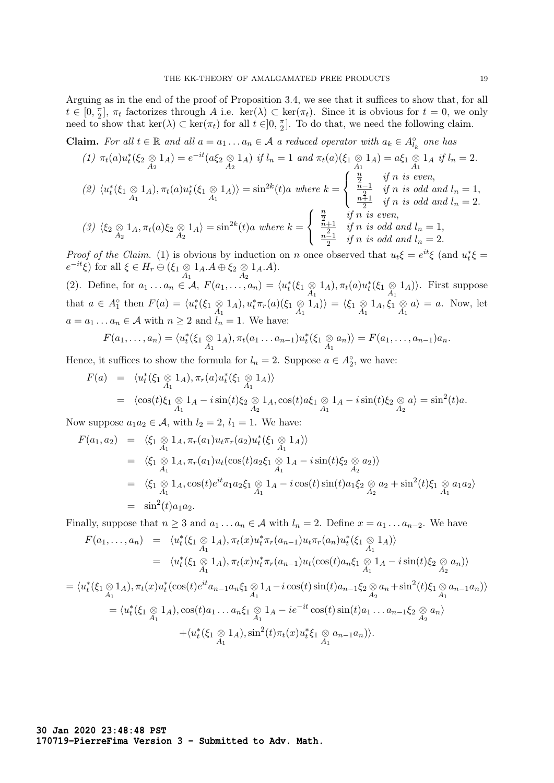Arguing as in the end of the proof of Proposition 3.4, we see that it suffices to show that, for all  $t \in [0, \frac{\pi}{2}]$  $\frac{\pi}{2}$ ,  $\pi_t$  factorizes through A i.e. ker( $\lambda$ ) ⊂ ker( $\pi_t$ ). Since it is obvious for  $t = 0$ , we only need to show that  $\ker(\lambda) \subset \ker(\pi_t)$  for all  $t \in ]0, \frac{\pi}{2}$  $\frac{\pi}{2}$ . To do that, we need the following claim.

**Claim.** For all  $t \in \mathbb{R}$  and all  $a = a_1 \dots a_n \in A$  a reduced operator with  $a_k \in A_{l_k}^{\circ}$  one has

$$
(1) \ \pi_t(a)u_t^*(\xi_2 \otimes 1_A) = e^{-it}(a\xi_2 \otimes 1_A) \ \text{if } l_n = 1 \ \text{and } \pi_t(a)(\xi_1 \otimes 1_A) = a\xi_1 \otimes 1_A \ \text{if } l_n = 2.
$$
\n
$$
(2) \ \langle u_t^*(\xi_1 \otimes 1_A), \pi_t(a)u_t^*(\xi_1 \otimes 1_A) \rangle = \sin^{2k}(t)a \ \text{where } k = \begin{cases} \frac{n}{2} & \text{if } n \ \text{is even,} \\ \frac{n-1}{2} & \text{if } n \ \text{is odd and } l_n = 1, \\ \frac{n+1}{2} & \text{if } n \ \text{is odd and } l_n = 2. \end{cases}
$$
\n
$$
(3) \ \langle \xi_2 \otimes 1_A, \pi_t(a)\xi_2 \otimes 1_A \rangle = \sin^{2k}(t)a \ \text{where } k = \begin{cases} \frac{n}{2} & \text{if } n \ \text{is even,} \\ \frac{n+1}{2} & \text{if } n \ \text{is odd and } l_n = 1, \\ \frac{n-1}{2} & \text{if } n \ \text{is odd and } l_n = 2. \end{cases}
$$

*Proof of the Claim.* (1) is obvious by induction on n once observed that  $u_t \xi = e^{it} \xi$  (and  $u_t^* \xi =$  $e^{-it}\xi$ ) for all  $\xi \in H_r \ominus (\xi_1 \underset{A_1}{\otimes} 1_A.A \oplus \xi_2 \underset{A_2}{\otimes} 1_A.A).$ 

(2). Define, for  $a_1 \ldots a_n \in \mathcal{A}$ ,  $F(a_1, \ldots, a_n) = \langle u_t^*(\xi_1 \otimes 1_A), \pi_t(a)u_t^*(\xi_1 \otimes 1_A) \rangle$ . First suppose that  $a \in A_1^{\circ}$  then  $F(a) = \langle u_t^*(\xi_1 \otimes 1_A), u_t^*\pi_r(a)(\xi_1 \otimes 1_A) \rangle = \langle \xi_1 \otimes 1_A, \xi_1 \otimes 1_A \rangle$  $a\rangle = a$ . Now, let  $a = a_1 \dots a_n \in \mathcal{A}$  with  $n \geq 2$  and  $l_n = 1$ . We have:

$$
F(a_1,\ldots,a_n)=\langle u_t^*(\xi_1\underset{A_1}{\otimes}1_A),\pi_t(a_1\ldots a_{n-1})u_t^*(\xi_1\underset{A_1}{\otimes}a_n)\rangle=F(a_1,\ldots,a_{n-1})a_n.
$$

Hence, it suffices to show the formula for  $l_n = 2$ . Suppose  $a \in A_2^{\circ}$ , we have:

$$
F(a) = \langle u_t^*(\xi_1 \otimes 1_A), \pi_r(a)u_t^*(\xi_1 \otimes 1_A) \rangle
$$
  
=  $\langle \cos(t)\xi_1 \otimes 1_A - i \sin(t)\xi_2 \otimes 1_A, \cos(t)a\xi_1 \otimes 1_A - i \sin(t)\xi_2 \otimes a \rangle = \sin^2(t)a$ .

Now suppose  $a_1a_2 \in \mathcal{A}$ , with  $l_2 = 2$ ,  $l_1 = 1$ . We have:

$$
F(a_1, a_2) = \langle \xi_1 \underset{A_1}{\otimes} 1_A, \pi_r(a_1) u_t \pi_r(a_2) u_t^*(\xi_1 \underset{A_1}{\otimes} 1_A) \rangle
$$
  
\n
$$
= \langle \xi_1 \underset{A_1}{\otimes} 1_A, \pi_r(a_1) u_t(\cos(t) a_2 \xi_1 \underset{A_1}{\otimes} 1_A - i \sin(t) \xi_2 \underset{A_2}{\otimes} a_2) \rangle
$$
  
\n
$$
= \langle \xi_1 \underset{A_1}{\otimes} 1_A, \cos(t) e^{it} a_1 a_2 \xi_1 \underset{A_1}{\otimes} 1_A - i \cos(t) \sin(t) a_1 \xi_2 \underset{A_2}{\otimes} a_2 + \sin^2(t) \xi_1 \underset{A_1}{\otimes} a_1 a_2 \rangle
$$
  
\n
$$
= \sin^2(t) a_1 a_2.
$$

Finally, suppose that  $n \geq 3$  and  $a_1 \ldots a_n \in A$  with  $l_n = 2$ . Define  $x = a_1 \ldots a_{n-2}$ . We have

$$
F(a_1,..., a_n) = \langle u_t^*(\xi_1 \otimes 1_A), \pi_t(x)u_t^*\pi_r(a_{n-1})u_t\pi_r(a_n)u_t^*(\xi_1 \otimes 1_A) \rangle
$$
  
=  $\langle u_t^*(\xi_1 \otimes 1_A), \pi_t(x)u_t^*\pi_r(a_{n-1})u_t(\cos(t)a_n\xi_1 \otimes 1_A - i\sin(t)\xi_2 \otimes a_n) \rangle$ 

$$
= \langle u_t^*(\xi_1 \otimes 1_A), \pi_t(x)u_t^*(\cos(t)e^{it}a_{n-1}a_n\xi_1 \otimes 1_A - i\cos(t)\sin(t)a_{n-1}\xi_2 \otimes a_n + \sin^2(t)\xi_1 \otimes a_{n-1}a_n) \rangle
$$
  
\n
$$
= \langle u_t^*(\xi_1 \otimes 1_A), \cos(t)a_1 \dots a_n\xi_1 \otimes 1_A - ie^{-it}\cos(t)\sin(t)a_1 \dots a_{n-1}\xi_2 \otimes a_n \rangle
$$
  
\n
$$
+ \langle u_t^*(\xi_1 \otimes 1_A), \sin^2(t)\pi_t(x)u_t^*\xi_1 \otimes a_{n-1}a_n) \rangle.
$$

**30 Jan 2020 23:48:48 PST 170719-PierreFima Version 3 - Submitted to Adv. Math.**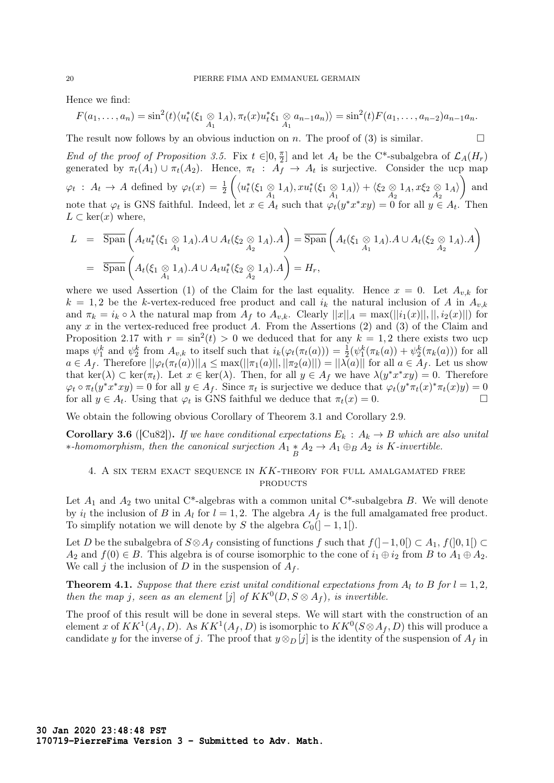Hence we find:

$$
F(a_1,\ldots,a_n)=\sin^2(t)\langle u_t^*(\xi_1\underset{A_1}{\otimes}1_A),\pi_t(x)u_t^*\xi_1\underset{A_1}{\otimes}a_{n-1}a_n\rangle\rangle=\sin^2(t)F(a_1,\ldots,a_{n-2})a_{n-1}a_n.
$$

The result now follows by an obvious induction on n. The proof of (3) is similar.  $\Box$ 

End of the proof of Proposition 3.5. Fix  $t \in ]0, \frac{\pi}{2}$  $\frac{\pi}{2}$  and let  $A_t$  be the C<sup>\*</sup>-subalgebra of  $\mathcal{L}_A(H_r)$ generated by  $\pi_t(A_1) \cup \pi_t(A_2)$ . Hence,  $\pi_t : A_f \to A_t$  is surjective. Consider the ucp map  $\varphi_t$ :  $A_t \to A$  defined by  $\varphi_t(x) = \frac{1}{2}$  $\left(\langle u_t^*(\xi_1\underset{A_1}{\otimes}1_A), xu_t^*(\xi_1\underset{A_1}{\otimes}1_A)\rangle + \langle \xi_2 \underset{A_2}{\otimes}1_A, x\xi_2 \underset{A_2}{\otimes}1_A\rangle\right)$  and note that  $\varphi_t$  is GNS faithful. Indeed, let  $x \in A_t$  such that  $\varphi_t(y^*x^*xy) = 0$  for all  $y \in A_t$ . Then  $L \subset \text{ker}(x)$  where,

$$
L = \overline{\text{Span}}\left(A_t u_t^*(\xi_1 \underset{A_1}{\otimes} 1_A).A \cup A_t(\xi_2 \underset{A_2}{\otimes} 1_A).A\right) = \overline{\text{Span}}\left(A_t(\xi_1 \underset{A_1}{\otimes} 1_A).A \cup A_t(\xi_2 \underset{A_2}{\otimes} 1_A).A\right)
$$
  
=  $\overline{\text{Span}}\left(A_t(\xi_1 \underset{A_1}{\otimes} 1_A).A \cup A_t u_t^*(\xi_2 \underset{A_2}{\otimes} 1_A).A\right) = H_r,$ 

where we used Assertion (1) of the Claim for the last equality. Hence  $x = 0$ . Let  $A_{v,k}$  for  $k = 1, 2$  be the k-vertex-reduced free product and call  $i_k$  the natural inclusion of A in  $A_{v,k}$ and  $\pi_k = i_k \circ \lambda$  the natural map from  $A_f$  to  $A_{v,k}$ . Clearly  $||x||_A = \max(||i_1(x)||, ||, i_2(x)||)$  for any  $x$  in the vertex-reduced free product  $A$ . From the Assertions (2) and (3) of the Claim and Proposition 2.17 with  $r = \sin^2(t) > 0$  we deduced that for any  $k = 1, 2$  there exists two ucp maps  $\psi_1^k$  and  $\psi_2^k$  from  $A_{v,k}$  to itself such that  $i_k(\varphi_t(\pi_t(a))) = \frac{1}{2}(\psi_1^k(\pi_k(a)) + \psi_2^k(\pi_k(a)))$  for all  $a \in A_f$ . Therefore  $||\varphi_t(\pi_t(a))||_A \leq \max(||\pi_1(a)||, ||\pi_2(a)||) = ||\lambda(a)||$  for all  $a \in A_f$ . Let us show that ker( $\lambda$ )  $\subset$  ker( $\pi_t$ ). Let  $x \in \text{ker}(\lambda)$ . Then, for all  $y \in A_f$  we have  $\lambda(y^*x^*xy) = 0$ . Therefore  $\varphi_t \circ \pi_t(y^*x^*xy) = 0$  for all  $y \in A_f$ . Since  $\pi_t$  is surjective we deduce that  $\varphi_t(y^*\pi_t(x)^*\pi_t(x)y) = 0$ for all  $y \in A_t$ . Using that  $\varphi_t$  is GNS faithful we deduce that  $\pi_t(x) = 0$ .

We obtain the following obvious Corollary of Theorem 3.1 and Corollary 2.9.

**Corollary 3.6** ([Cu82]). If we have conditional expectations  $E_k : A_k \to B$  which are also unital ∗-homomorphism, then the canonical surjection  $A_1 * A_2 \to A_1 \oplus_B A_2$  is K-invertible.

### 4. A SIX TERM EXACT SEQUENCE IN  $KK$ -THEORY FOR FULL AMALGAMATED FREE **PRODUCTS**

Let  $A_1$  and  $A_2$  two unital C<sup>\*</sup>-algebras with a common unital C<sup>\*</sup>-subalgebra B. We will denote by  $i_l$  the inclusion of B in  $A_l$  for  $l = 1, 2$ . The algebra  $A_f$  is the full amalgamated free product. To simplify notation we will denote by S the algebra  $C_0(]-1,1[).$ 

Let D be the subalgebra of  $S \otimes A_f$  consisting of functions f such that  $f([-1,0]) \subset A_1$ ,  $f([0,1]) \subset$  $A_2$  and  $f(0) \in B$ . This algebra is of course isomorphic to the cone of  $i_1 \oplus i_2$  from B to  $A_1 \oplus A_2$ . We call j the inclusion of D in the suspension of  $A_f$ .

**Theorem 4.1.** Suppose that there exist unital conditional expectations from  $A_l$  to B for  $l = 1, 2$ , then the map j, seen as an element [j] of  $KK^0(D, S \otimes A_f)$ , is invertible.

The proof of this result will be done in several steps. We will start with the construction of an element x of  $KK^1(A_f, D)$ . As  $KK^1(A_f, D)$  is isomorphic to  $KK^0(S \otimes A_f, D)$  this will produce a candidate y for the inverse of j. The proof that  $y \otimes_D [j]$  is the identity of the suspension of  $A_f$  in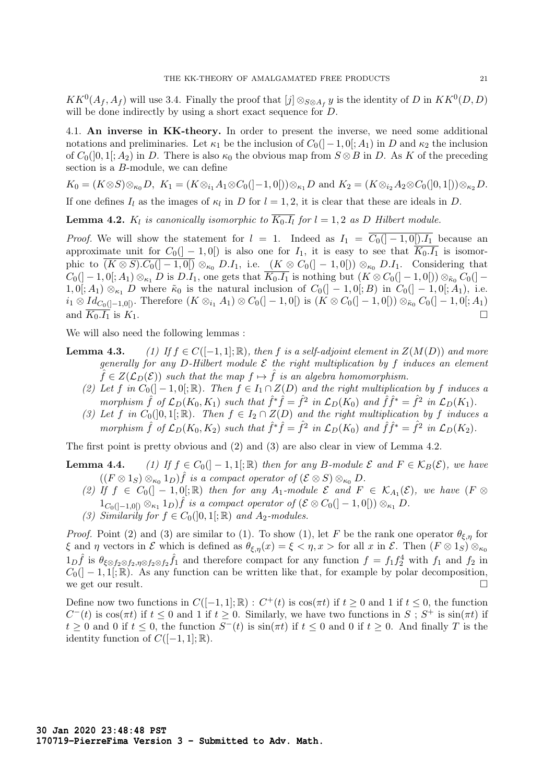$KK^0(A_f, A_f)$  will use 3.4. Finally the proof that  $[j] \otimes_{S \otimes A_f} y$  is the identity of D in  $KK^0(D, D)$ will be done indirectly by using a short exact sequence for D.

4.1. An inverse in KK-theory. In order to present the inverse, we need some additional notations and preliminaries. Let  $\kappa_1$  be the inclusion of  $C_0([-1, 0]; A_1)$  in D and  $\kappa_2$  the inclusion of  $C_0(]0,1[;A_2)$  in D. There is also  $\kappa_0$  the obvious map from  $S \otimes B$  in D. As K of the preceding section is a B-module, we can define

 $K_0 = (K \otimes S) \otimes_{\kappa_0} D, K_1 = (K \otimes_{i_1} A_1 \otimes C_0([-1,0])) \otimes_{\kappa_1} D \text{ and } K_2 = (K \otimes_{i_2} A_2 \otimes C_0([0,1])) \otimes_{\kappa_2} D.$ 

If one defines  $I_l$  as the images of  $\kappa_l$  in D for  $l = 1, 2$ , it is clear that these are ideals in D.

**Lemma 4.2.**  $K_l$  is canonically isomorphic to  $K_0.I_l$  for  $l = 1, 2$  as D Hilbert module.

*Proof.* We will show the statement for  $l = 1$ . Indeed as  $I_1 = \overline{C_0(1-1,0[).I_1}$  because an approximate unit for  $C_0(]-1,0[)$  is also one for  $I_1$ , it is easy to see that  $\overline{K_0.I_1}$  is isomorphic to  $\overline{(K \otimes S) . C_0([-1,0])} \otimes_{\kappa_0} D.I_1$ , i.e.  $(K \otimes C_0([-1,0])) \otimes_{\kappa_0} D.I_1$ . Considering that  $C_0([-1,0[;A_1)\otimes_{\kappa_1} D$  is  $D.I_1$ , one gets that  $K_0.I_1$  is nothing but  $(K\otimes C_0([-1,0[))\otimes_{\kappa_0} C_0([-1,1[$  $1, 0[; A_1) \otimes_{\kappa_1} D$  where  $\tilde{\kappa}_0$  is the natural inclusion of  $C_0([-1, 0[; B]$  in  $C_0([-1, 0[; A_1], \dots, A_n])$ .  $i_1 \otimes Id_{C_0([-1,0])}$ . Therefore  $(K \otimes_{i_1} A_1) \otimes C_0([-1,0])$  is  $(K \otimes C_0([-1,0]) \otimes_{\tilde{\kappa}_0} C_0([-1,0];A_1)$ and  $\overline{K_0.I_1}$  is  $K_1$ .

We will also need the following lemmas :

- **Lemma 4.3.** (1) If  $f \in C([-1, 1]; \mathbb{R})$ , then f is a self-adjoint element in  $Z(M(D))$  and more generally for any D-Hilbert module  $\mathcal E$  the right multiplication by f induces an element  $\hat{f} \in Z(\mathcal{L}_D(\mathcal{E}))$  such that the map  $f \mapsto \hat{f}$  is an algebra homomorphism.
	- (2) Let f in  $C_0([-1,0];\mathbb{R})$ . Then  $f \in I_1 \cap Z(D)$  and the right multiplication by f induces a morphism  $\hat{f}$  of  $\mathcal{L}_D(K_0, K_1)$  such that  $\hat{f}^*\hat{f} = \hat{f}^2$  in  $\mathcal{L}_D(K_0)$  and  $\hat{f}\hat{f}^* = \hat{f}^2$  in  $\mathcal{L}_D(K_1)$ .
	- (3) Let f in  $C_0([0,1];\mathbb{R})$ . Then  $f \in I_2 \cap Z(D)$  and the right multiplication by f induces a morphism  $\hat{f}$  of  $\mathcal{L}_D(K_0, K_2)$  such that  $\hat{f}^*\hat{f} = \hat{f}^2$  in  $\mathcal{L}_D(K_0)$  and  $\hat{f}\hat{f}^* = \hat{f}^2$  in  $\mathcal{L}_D(K_2)$ .

The first point is pretty obvious and (2) and (3) are also clear in view of Lemma 4.2.

- **Lemma 4.4.** (1) If  $f \in C_0([-1,1];\mathbb{R})$  then for any B-module  $\mathcal{E}$  and  $F \in \mathcal{K}_B(\mathcal{E})$ , we have  $((F \otimes 1_S) \otimes_{\kappa_0} 1_D) \hat{f}$  is a compact operator of  $(\mathcal{E} \otimes S) \otimes_{\kappa_0} D$ .
	- (2) If  $f \in C_0(]-1,0[;\mathbb{R})$  then for any  $A_1$ -module  $\mathcal{E}$  and  $F \in \mathcal{K}_{A_1}(\mathcal{E})$ , we have  $(F \otimes$  $1_{C_0([-1,0[)} \otimes_{\kappa_1} 1_D) \hat{f}$  is a compact operator of  $(\mathcal{E} \otimes C_0([-1,0[)) \otimes_{\kappa_1} D$ .
	- (3) Similarily for  $f \in C_0([0,1];\mathbb{R})$  and  $A_2$ -modules.

*Proof.* Point (2) and (3) are similar to (1). To show (1), let F be the rank one operator  $\theta_{\xi,\eta}$  for ξ and η vectors in  $\mathcal E$  which is defined as  $\theta_{\xi,\eta}(x) = \xi < \eta, x >$  for all x in  $\mathcal E$ . Then  $(F \otimes 1_S) \otimes_{\kappa_0}$  $1_D\hat{f}$  is  $\theta_{\xi\otimes f_2\otimes f_2,\eta\otimes f_2\otimes f_2}\hat{f}_1$  and therefore compact for any function  $f=f_1f_2^4$  with  $f_1$  and  $f_2$  in  $C_0(]-1,1[;\mathbb{R})$ . As any function can be written like that, for example by polar decomposition, we get our result.  $\Box$ 

Define now two functions in  $C([-1, 1]; \mathbb{R})$ :  $C^+(t)$  is  $\cos(\pi t)$  if  $t \geq 0$  and 1 if  $t \leq 0$ , the function  $C^-(t)$  is cos( $\pi t$ ) if  $t \leq 0$  and 1 if  $t \geq 0$ . Similarly, we have two functions in  $S$ ;  $S^+$  is  $\sin(\pi t)$  if  $t \geq 0$  and 0 if  $t \leq 0$ , the function  $S^{-}(t)$  is  $\sin(\pi t)$  if  $t \leq 0$  and 0 if  $t \geq 0$ . And finally T is the identity function of  $C([-1, 1]; \mathbb{R})$ .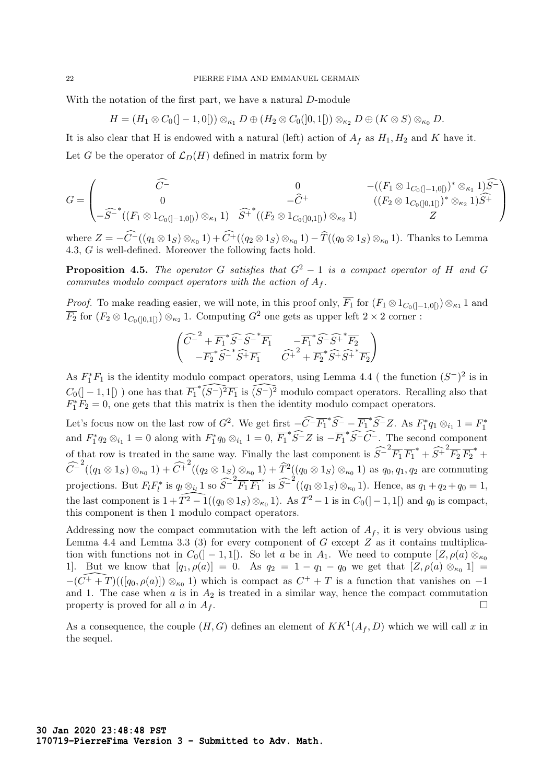With the notation of the first part, we have a natural D-module

$$
H = (H_1 \otimes C_0([-1,0[)) \otimes_{\kappa_1} D \oplus (H_2 \otimes C_0([0,1[)) \otimes_{\kappa_2} D \oplus (K \otimes S) \otimes_{\kappa_0} D).
$$

It is also clear that H is endowed with a natural (left) action of  $A_f$  as  $H_1, H_2$  and K have it. Let G be the operator of  $\mathcal{L}_D(H)$  defined in matrix form by

$$
G = \begin{pmatrix} \widehat{C} & 0 & -((F_1 \otimes 1_{C_0([-1,0[)})^* \otimes_{\kappa_1} 1)\widehat{S}^-) \\ 0 & -\widehat{C}^+ & ((F_2 \otimes 1_{C_0([0,1[)})^* \otimes_{\kappa_2} 1)\widehat{S}^+ \\ -\widehat{S}^{-*}((F_1 \otimes 1_{C_0([-1,0[)}) \otimes_{\kappa_1} 1) & \widehat{S}^+^*((F_2 \otimes 1_{C_0([0,1[)}) \otimes_{\kappa_2} 1) & Z \end{pmatrix}
$$

where  $Z = -C^{-}((q_1 \otimes 1_S) \otimes_{\kappa_0} 1) + C^{+}((q_2 \otimes 1_S) \otimes_{\kappa_0} 1) - \hat{T}((q_0 \otimes 1_S) \otimes_{\kappa_0} 1)$ . Thanks to Lemma 4.3, G is well-defined. Moreover the following facts hold.

**Proposition 4.5.** The operator G satisfies that  $G^2 - 1$  is a compact operator of H and G commutes modulo compact operators with the action of  $A_f$ .

*Proof.* To make reading easier, we will note, in this proof only,  $\overline{F_1}$  for  $(F_1 \otimes 1_{C_0([-1,0[)}) \otimes_{\kappa_1} 1$  and  $\overline{F_2}$  for  $(F_2 \otimes 1_{C_0([0,1])}) \otimes_{\kappa_2} 1$ . Computing  $G^2$  one gets as upper left  $2 \times 2$  corner :

$$
\begin{pmatrix} \widehat{C}^{-2} + \overline{F_1}^* \widehat{S}^{-} \widehat{S}^{-*} \overline{F_1} & -\overline{F_1}^* \widehat{S}^{-} \widehat{S}^{+} \overline{F_2} \\ -\overline{F_2}^* \widehat{S}^{-*} \widehat{S}^{+} \overline{F_1} & \widehat{C}^{+2} + \overline{F_2}^* \widehat{S}^{+} \widehat{S}^{+} \overline{F_2} \end{pmatrix}
$$

As  $F_1^*F_1$  is the identity modulo compact operators, using Lemma 4.4 ( the function  $(S^-)^2$  is in  $C_0([-1,1])$  one has that  $\widehat{F_1^*(S^-)^2}\overline{F_1}$  is  $\widehat{(S^-)^2}$  modulo compact operators. Recalling also that  $F_1^*F_2 = 0$ , one gets that this matrix is then the identity modulo compact operators.

Let's focus now on the last row of  $G^2$ . We get first  $-\widehat{C}^{-} \overline{F_1}^* \widehat{S}^- - \overline{F_1}^* \widehat{S}^- Z$ . As  $F_1^* q_1 \otimes_{i_1} 1 = F_1^*$ and  $F_1^* q_2 \otimes_{i_1} 1 = 0$  along with  $F_1^* q_0 \otimes_{i_1} 1 = 0$ ,  $\overline{F_1}^* \widehat{S}^- Z$  is  $-\overline{F_1}^* \widehat{S}^- \widehat{C}^-$ . The second component of that row is treated in the same way. Finally the last component is  $\widehat{S}^{-2}\overline{F_1}\,\overline{F_1}^* + \widehat{S^+}^2\overline{F_2}\,\overline{F_2}^* +$  $\widehat{C}^{-2}((q_1 \otimes 1_S) \otimes_{\kappa_0} 1) + \widehat{C}^{+2}((q_2 \otimes 1_S) \otimes_{\kappa_0} 1) + \widehat{T}^{2}((q_0 \otimes 1_S) \otimes_{\kappa_0} 1)$  as  $q_0, q_1, q_2$  are commuting projections. But  $F_l F_l^*$  is  $q_l \otimes_{i_l} 1$  so  $\widehat{S}^{-2} \overline{F_1} \overline{F_1}^*$  is  $\widehat{S}^{-2}((q_1 \otimes 1_S) \otimes_{\kappa_0} 1)$ . Hence, as  $q_1 + q_2 + q_0 = 1$ , the last component is  $1 + \widehat{T^2 - 1}((q_0 \otimes 1_S) \otimes_{\kappa_0} 1)$ . As  $T^2 - 1$  is in  $C_0(]-1, 1[)$  and  $q_0$  is compact, this component is then 1 modulo compact operators.

Addressing now the compact commutation with the left action of  $A_f$ , it is very obvious using Lemma 4.4 and Lemma 3.3 (3) for every component of  $G$  except  $Z$  as it contains multiplication with functions not in  $C_0(]-1,1[)$ . So let a be in  $A_1$ . We need to compute  $[Z,\rho(a) \otimes_{\kappa_0} ]$ 1. But we know that  $[q_1, \rho(a)] = 0$ . As  $q_2 = 1 - q_1 - q_0$  we get that  $[Z, \rho(a) \otimes_{\kappa_0} 1] =$  $-(\widehat{C^+ + T})(([q_0, \rho(a)]) \otimes_{\kappa_0} 1)$  which is compact as  $C^+ + T$  is a function that vanishes on  $-1$ and 1. The case when  $a$  is in  $A_2$  is treated in a similar way, hence the compact commutation property is proved for all a in  $A_f$ .

As a consequence, the couple  $(H, G)$  defines an element of  $KK^1(A_f, D)$  which we will call x in the sequel.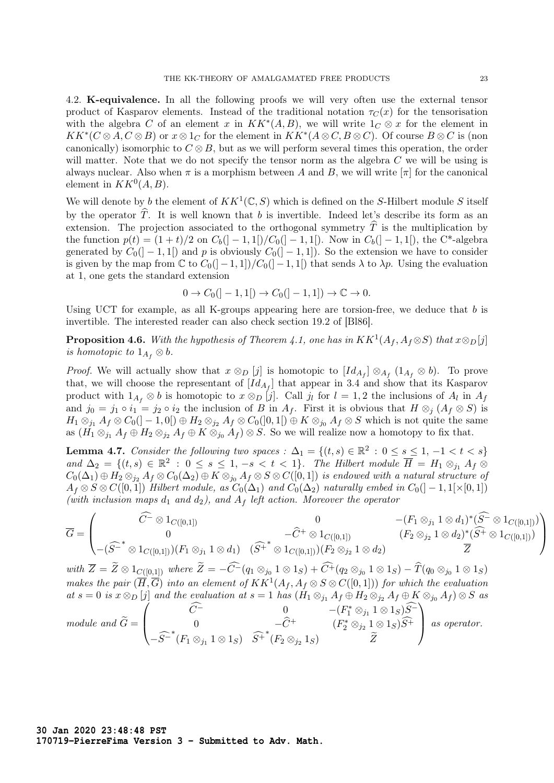4.2. K-equivalence. In all the following proofs we will very often use the external tensor product of Kasparov elements. Instead of the traditional notation  $\tau_C(x)$  for the tensorisation with the algebra C of an element x in  $KK^*(A, B)$ , we will write  $1_C \otimes x$  for the element in  $KK^*(C \otimes A, C \otimes B)$  or  $x \otimes 1_C$  for the element in  $KK^*(A \otimes C, B \otimes C)$ . Of course  $B \otimes C$  is (non canonically) isomorphic to  $C \otimes B$ , but as we will perform several times this operation, the order will matter. Note that we do not specify the tensor norm as the algebra  $C$  we will be using is always nuclear. Also when  $\pi$  is a morphism between A and B, we will write  $[\pi]$  for the canonical element in  $KK^0(A, B)$ .

We will denote by b the element of  $KK^1(\mathbb{C},S)$  which is defined on the S-Hilbert module S itself by the operator  $\hat{T}$ . It is well known that b is invertible. Indeed let's describe its form as an extension. The projection associated to the orthogonal symmetry  $\hat{T}$  is the multiplication by the function  $p(t) = (1 + t)/2$  on  $C_b([-1,1])/C_0([-1,1])$ . Now in  $C_b([-1,1])$ , the C<sup>\*</sup>-algebra generated by  $C_0([-1,1])$  and p is obviously  $C_0([-1,1])$ . So the extension we have to consider is given by the map from  $\mathbb C$  to  $C_0([-1,1])/C_0([-1,1])$  that sends  $\lambda$  to  $\lambda p$ . Using the evaluation at 1, one gets the standard extension

$$
0 \to C_0([-1, 1]) \to C_0([-1, 1]) \to \mathbb{C} \to 0.
$$

Using UCT for example, as all K-groups appearing here are torsion-free, we deduce that  $b$  is invertible. The interested reader can also check section 19.2 of [Bl86].

**Proposition 4.6.** With the hypothesis of Theorem 4.1, one has in  $KK^{1}(A_f, A_f \otimes S)$  that  $x \otimes_D[j]$ is homotopic to  $1_{A_f} \otimes b$ .

*Proof.* We will actually show that  $x \otimes_D [j]$  is homotopic to  $Id_{A_f} \otimes_{A_f} (1_{A_f} \otimes b)$ . To prove that, we will choose the representant of  $[Id_{A_f}]$  that appear in 3.4 and show that its Kasparov product with  $1_{A_f} \otimes b$  is homotopic to  $x \otimes_D [j]$ . Call  $j_l$  for  $l = 1, 2$  the inclusions of  $A_l$  in  $A_f$ and  $j_0 = j_1 \circ i_1 = j_2 \circ i_2$  the inclusion of B in  $A_f$ . First it is obvious that  $H \otimes_i (A_f \otimes S)$  is  $H_1 \otimes_{j_1} A_f \otimes C_0(]-1,0[) \oplus H_2 \otimes_{j_2} A_f \otimes C_0(]0,1[) \oplus K \otimes_{j_0} A_f \otimes S$  which is not quite the same as  $(H_1 \otimes_{j_1} A_f \oplus H_2 \otimes_{j_2} A_f \oplus K \otimes_{j_0} A_f) \otimes S$ . So we will realize now a homotopy to fix that.

**Lemma 4.7.** Consider the following two spaces :  $\Delta_1 = \{(t, s) \in \mathbb{R}^2 : 0 \le s \le 1, -1 < t < s\}$ and  $\Delta_2 = \{(t, s) \in \mathbb{R}^2 : 0 \le s \le 1, -s < t < 1\}$ . The Hilbert module  $\overline{H} = H_1 \otimes_{j_1} A_f \otimes$  $C_0(\Delta_1)\oplus H_2\otimes_{j_2}A_f\otimes C_0(\Delta_2)\oplus K\otimes_{j_0}A_f\otimes S\otimes C([0,1])$  is endowed with a natural structure of  $A_f \otimes S \otimes C([0,1])$  Hilbert module, as  $C_0(\Delta_1)$  and  $C_0(\Delta_2)$  naturally embed in  $C_0([-1,1] \times [0,1])$ (with inclusion maps  $d_1$  and  $d_2$ ), and  $A_f$  left action. Moreover the operator

$$
\overline{G} = \begin{pmatrix}\n\widehat{C^{-}} \otimes 1_{C([0,1])} & 0 & -(F_1 \otimes_{j_1} 1 \otimes d_1)^* (\widehat{S^{-}} \otimes 1_{C([0,1])}) \\
0 & -\widehat{C^{+}} \otimes 1_{C([0,1])} & (F_2 \otimes_{j_2} 1 \otimes d_2)^* (\widehat{S^{+}} \otimes 1_{C([0,1])}) \\
-(\widehat{S^{-}}^{*} \otimes 1_{C([0,1])})(F_1 \otimes_{j_1} 1 \otimes d_1) & (\widehat{S^{+}}^{*} \otimes 1_{C([0,1])})(F_2 \otimes_{j_2} 1 \otimes d_2) & \overline{Z}\n\end{pmatrix}
$$

with  $\overline{Z} = Z \otimes 1_{\underline{C([0,1])}}$  where  $Z = -C^{-}(q_1 \otimes_{j_0} 1 \otimes 1_S) + C^{+}(q_2 \otimes_{j_0} 1 \otimes 1_S) - T(q_0 \otimes_{j_0} 1 \otimes 1_S)$ makes the pair  $(\overline{H},\overline{G})$  into an element of  $KK^{1}(A_f,A_f\otimes S\otimes C([0,1]))$  for which the evaluation at  $s = 0$  is  $x \otimes_D [j]$  and the evaluation at  $s = 1$  has  $(H_1 \otimes_{j_1} A_f \oplus H_2 \otimes_{j_2} A_f \oplus K \otimes_{j_0} A_f) \otimes S$  as module and  $G =$  $\sqrt{ }$  $\overline{\mathcal{L}}$  $C^{-}$  0 −(F<sub>1</sub><sup>\*</sup> ⊗<sub>j1</sub> 1 ⊗ 1<sub>S</sub>) $S^{-}$ 0  $-{\widehat {C}}^+$   $(F_2^* \otimes_{j_2} 1 \otimes 1_S){\widehat {S}}^+$  $\setminus$ as operator.

 $-\widehat{S}^{-*}(F_1 \otimes_{j_1} 1 \otimes 1_S) \widehat{S}^{+*}(F_2 \otimes_{j_2} 1_S)$   $\widehat{Z}$ 

**30 Jan 2020 23:48:48 PST 170719-PierreFima Version 3 - Submitted to Adv. Math.**  $\setminus$ 

 $\frac{1}{2}$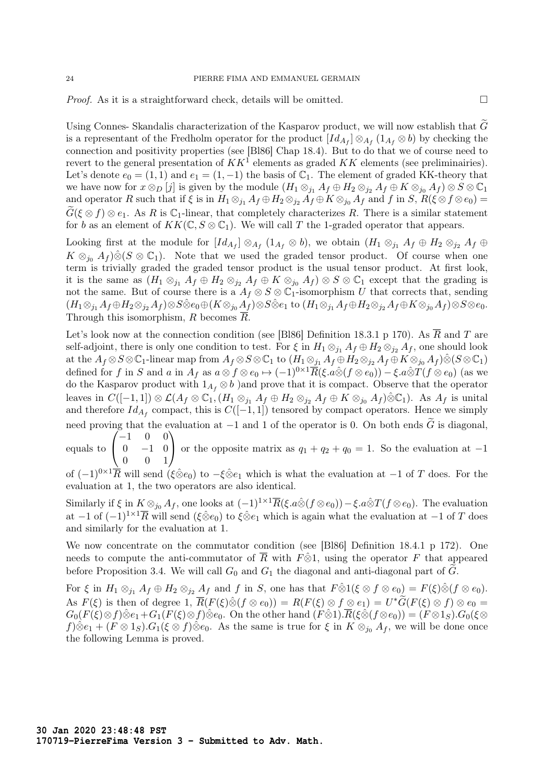*Proof.* As it is a straightforward check, details will be omitted.  $\square$ 

Using Connes- Skandalis characterization of the Kasparov product, we will now establish that  $\tilde{G}$ is a representant of the Fredholm operator for the product  $[Id_{A_f}]\otimes_{A_f}(1_{A_f}\otimes b)$  by checking the connection and positivity properties (see [Bl86] Chap 18.4). But to do that we of course need to revert to the general presentation of  $KK^{\mathcal{I}}$  elements as graded  $KK$  elements (see preliminairies). Let's denote  $e_0 = (1, 1)$  and  $e_1 = (1, -1)$  the basis of  $\mathbb{C}_1$ . The element of graded KK-theory that we have now for  $x \otimes_D [j]$  is given by the module  $(H_1 \otimes_{j_1} A_f \oplus H_2 \otimes_{j_2} A_f \oplus K \otimes_{j_0} A_f) \otimes S \otimes \mathbb{C}_1$ and operator R such that if  $\xi$  is in  $H_1 \otimes_{j_1} A_f \oplus H_2 \otimes_{j_2} A_f \oplus K \otimes_{j_0} A_f$  and f in S,  $R(\xi \otimes f \otimes e_0) =$  $\tilde{G}(\xi \otimes f) \otimes e_1$ . As R is C<sub>1</sub>-linear, that completely characterizes R. There is a similar statement for b as an element of  $KK(\mathbb{C}, S \otimes \mathbb{C}_1)$ . We will call T the 1-graded operator that appears.

Looking first at the module for  $Id_{A_f} \otimes_{A_f} (1_{A_f} \otimes b)$ , we obtain  $(H_1 \otimes_{j_1} A_f \oplus H_2 \otimes_{j_2} A_f \oplus b)$  $K \otimes_{j_0} A_f \hat{S}(S \otimes \mathbb{C}_1)$ . Note that we used the graded tensor product. Of course when one term is trivially graded the graded tensor product is the usual tensor product. At first look, it is the same as  $(H_1 \otimes_{j_1} A_f \oplus H_2 \otimes_{j_2} A_f \oplus K \otimes_{j_0} A_f) \otimes S \otimes \mathbb{C}_1$  except that the grading is not the same. But of course there is a  $A_f \otimes S \otimes \mathbb{C}_1$ -isomorphism U that corrects that, sending  $(H_1\otimes_{j_1}A_f\oplus H_2\otimes_{j_2}A_f)\otimes S\hat{\otimes} e_0\oplus (K\otimes_{j_0}A_f)\otimes S\hat{\otimes} e_1$  to  $(H_1\otimes_{j_1}A_f\oplus H_2\otimes_{j_2}A_f\oplus K\otimes_{j_0}A_f)\otimes S\otimes e_0$ . Through this isomorphism, R becomes  $\overline{R}$ .

Let's look now at the connection condition (see [Bl86] Definition 18.3.1 p 170). As  $\overline{R}$  and T are self-adjoint, there is only one condition to test. For  $\xi$  in  $H_1 \otimes_{j_1} A_f \oplus H_2 \otimes_{j_2} A_f$ , one should look at the  $A_f \otimes S \otimes \mathbb{C}_1$ -linear map from  $A_f \otimes S \otimes \mathbb{C}_1$  to  $(H_1 \otimes_{j_1} A_f \oplus H_2 \otimes_{j_2} A_f \oplus K \otimes_{j_0} A_f) \hat{\otimes} (S \otimes \mathbb{C}_1)$ defined for f in S and a in  $A_f$  as  $a \otimes f \otimes e_0 \mapsto (-1)^{0 \times 1} \overline{R}(\xi \cdot a \hat{\otimes} (f \otimes e_0)) - \xi \cdot a \hat{\otimes} T(f \otimes e_0)$  (as we do the Kasparov product with  $1_{A_f} \otimes b$  )and prove that it is compact. Observe that the operator leaves in  $C([-1, 1]) \otimes \mathcal{L}(A_f \otimes \mathbb{C}_1, (H_1 \otimes_{j_1} A_f \oplus H_2 \otimes_{j_2} A_f \oplus K \otimes_{j_0} A_f) \hat{\otimes} \mathbb{C}_1$ ). As  $A_f$  is unital and therefore  $Id_{A_f}$  compact, this is  $C([-1, 1])$  tensored by compact operators. Hence we simply need proving that the evaluation at  $-1$  and 1 of the operator is 0. On both ends  $\tilde{G}$  is diagonal,  $\sqrt{ }$ −1 0 0  $\setminus$ 

equals to  $\mathcal{L}$  $0 \t -1 \t 0$ 0 0 1 or the opposite matrix as  $q_1 + q_2 + q_0 = 1$ . So the evaluation at  $-1$ 

of  $(-1)^{0\times 1}\overline{R}$  will send  $(\xi\hat{\otimes}e_0)$  to  $-\xi\hat{\otimes}e_1$  which is what the evaluation at  $-1$  of T does. For the evaluation at 1, the two operators are also identical.

Similarly if  $\xi$  in  $K \otimes_{j_0} A_f$ , one looks at  $(-1)^{1 \times 1} \overline{R}(\xi.a\hat{\otimes} (f \otimes e_0)) - \xi.a\hat{\otimes} T(f \otimes e_0)$ . The evaluation at −1 of  $(-1)^{1\times1}\overline{R}$  will send  $(\xi\hat{\otimes}e_0)$  to  $\xi\hat{\otimes}e_1$  which is again what the evaluation at −1 of T does and similarly for the evaluation at 1.

We now concentrate on the commutator condition (see [Bl86] Definition 18.4.1 p 172). One needs to compute the anti-commutator of  $\overline{R}$  with  $F\hat{\otimes}1$ , using the operator F that appeared before Proposition 3.4. We will call  $G_0$  and  $G_1$  the diagonal and anti-diagonal part of G.

For  $\xi$  in  $H_1 \otimes_{j_1} A_f \oplus H_2 \otimes_{j_2} A_f$  and f in S, one has that  $F \hat{\otimes} 1(\xi \otimes f \otimes e_0) = F(\xi) \hat{\otimes} (f \otimes e_0)$ . As  $F(\xi)$  is then of degree 1,  $\overline{R}(F(\xi)\hat{\otimes}(f\otimes e_0)) = R(F(\xi)\otimes f\otimes e_1) = U^*\widetilde{G}(F(\xi)\otimes f) \otimes e_0 =$  $G_0(F(\xi)\otimes f)\hat{\otimes}e_1+G_1(F(\xi)\otimes f)\hat{\otimes}e_0$ . On the other hand  $(F\hat{\otimes}1)\cdot\overline{R}(\xi\hat{\otimes}(f\otimes e_0))=(F\otimes 1_S)\cdot G_0(\xi\otimes e_0)$  $f\hat{\otimes}e_1 + (F \otimes 1_S) \cdot G_1(\xi \otimes f) \hat{\otimes} e_0$ . As the same is true for  $\xi$  in  $K \otimes_{i_0} A_f$ , we will be done once the following Lemma is proved.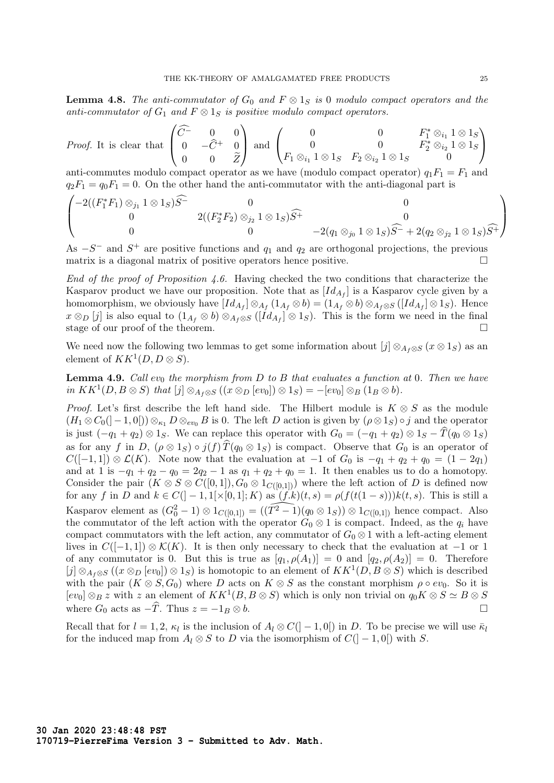**Lemma 4.8.** The anti-commutator of  $G_0$  and  $F \otimes 1_S$  is 0 modulo compact operators and the anti-commutator of  $G_1$  and  $F \otimes 1_S$  is positive modulo compact operators.

*Proof.* It is clear that 
$$
\begin{pmatrix} \widehat{C} & 0 & 0 \\ 0 & -\widehat{C}^+ & 0 \\ 0 & 0 & \widetilde{Z} \end{pmatrix}
$$
 and 
$$
\begin{pmatrix} 0 & 0 & F_1^* \otimes_{i_1} 1 \otimes 1_S \\ 0 & 0 & F_2^* \otimes_{i_2} 1 \otimes 1_S \\ F_1 \otimes_{i_1} 1 \otimes 1_S & F_2 \otimes_{i_2} 1 \otimes 1_S & 0 \end{pmatrix}
$$
  
anti-commutes modulo compact operator as we have (modulo compact operator)  $q_1 F_1 = F_1$  and  $q_2 F_1 = q_0 F_1 = 0$ . On the other hand the anti-commutator with the anti-diagonal part is  $\begin{pmatrix} -2((F_1^* F_1) \otimes_{i_1} 1 \otimes 1_S)\widehat{S}^{-} & 0 \\ 0 & 0 & 0 \end{pmatrix}$ 

$$
\begin{pmatrix}\n-2((F_1^*F_1)\otimes_{j_1}1\otimes 1_S)\widehat{S}^- & 0 & 0 \\
0 & 2((F_2^*F_2)\otimes_{j_2}1\otimes 1_S)\widehat{S}^+ & 0 \\
0 & 0 & -2(q_1\otimes_{j_0}1\otimes 1_S)\widehat{S}^- + 2(q_2\otimes_{j_2}1\otimes 1_S)\widehat{S}^+\n\end{pmatrix}
$$

As  $-S^-$  and  $S^+$  are positive functions and  $q_1$  and  $q_2$  are orthogonal projections, the previous matrix is a diagonal matrix of positive operators hence positive.

End of the proof of Proposition 4.6. Having checked the two conditions that characterize the Kasparov product we have our proposition. Note that as  $[Id_{A_f}]$  is a Kasparov cycle given by a homomorphism, we obviously have  $Id_{A_f} \otimes_{A_f} (1_{A_f} \otimes b) = (1_{A_f} \otimes b) \otimes_{A_f \otimes S} (Id_{A_f} \otimes 1_S)$ . Hence  $x \otimes_D [j]$  is also equal to  $(1_{A_f} \otimes b) \otimes_{A_f \otimes S} ([Id_{A_f}] \otimes 1_S)$ . This is the form we need in the final stage of our proof of the theorem.

We need now the following two lemmas to get some information about  $[j] \otimes_{A_f \otimes S} (x \otimes 1_S)$  as an element of  $KK^1(D, D \otimes S)$ .

**Lemma 4.9.** Call  $ev_0$  the morphism from D to B that evaluates a function at 0. Then we have in  $KK^1(D, B \otimes S)$  that  $[j] \otimes_{A_f \otimes S} ((x \otimes_D [ev_0]) \otimes 1_S) = -[ev_0] \otimes_B (1_B \otimes b).$ 

*Proof.* Let's first describe the left hand side. The Hilbert module is  $K \otimes S$  as the module  $(H_1 \otimes C_0([-1,0])) \otimes_{\kappa_1} D \otimes_{ev_0} B$  is 0. The left D action is given by  $(\rho \otimes 1_S) \circ j$  and the operator is just  $(-q_1 + q_2) \otimes 1_S$ . We can replace this operator with  $G_0 = (-q_1 + q_2) \otimes 1_S - \hat{T}(q_0 \otimes 1_S)$ as for any f in D,  $(\rho \otimes 1_S) \circ j(f) \hat{T}(q_0 \otimes 1_S)$  is compact. Observe that  $G_0$  is an operator of  $C([-1,1]) \otimes \mathcal{L}(K)$ . Note now that the evaluation at  $-1$  of  $G_0$  is  $-q_1 + q_2 + q_0 = (1 - 2q_1)$ and at 1 is  $-q_1 + q_2 - q_0 = 2q_2 - 1$  as  $q_1 + q_2 + q_0 = 1$ . It then enables us to do a homotopy. Consider the pair  $(K \otimes S \otimes C([0,1]), G_0 \otimes 1_{C([0,1])})$  where the left action of D is defined now for any f in D and  $k \in C([-1,1] \times [0,1]; K)$  as  $(f.k)(t,s) = \rho(f(t(1-s)))k(t,s)$ . This is still a Kasparov element as  $(G_0^2 - 1) \otimes 1_{C([0,1])} = ((\widetilde{T^2 - 1})(q_0 \otimes 1_S)) \otimes 1_{C([0,1])}$  hence compact. Also the commutator of the left action with the operator  $G_0 \otimes 1$  is compact. Indeed, as the  $q_i$  have compact commutators with the left action, any commutator of  $G_0 \otimes 1$  with a left-acting element lives in  $C([-1,1]) \otimes \mathcal{K}(K)$ . It is then only necessary to check that the evaluation at -1 or 1 of any commutator is 0. But this is true as  $[q_1, \rho(A_1)] = 0$  and  $[q_2, \rho(A_2)] = 0$ . Therefore  $[j] \otimes_{A_f \otimes S} ((x \otimes_D [ev_0]) \otimes 1_S)$  is homotopic to an element of  $KK^1(D, B \otimes S)$  which is described with the pair  $(K \otimes S, G_0)$  where D acts on  $K \otimes S$  as the constant morphism  $\rho \circ ev_0$ . So it is  $[ev_0] \otimes_B z$  with z an element of  $KK^1(B, B \otimes S)$  which is only non trivial on  $q_0K \otimes S \simeq B \otimes S$ where  $G_0$  acts as  $-\widehat{T}$ . Thus  $z = -1_B \otimes b$ .

Recall that for  $l = 1, 2, \kappa_l$  is the inclusion of  $A_l \otimes C(l-1, 0)$  in D. To be precise we will use  $\bar{\kappa}_l$ for the induced map from  $A_l \otimes S$  to D via the isomorphism of  $C([-1,0])$  with S.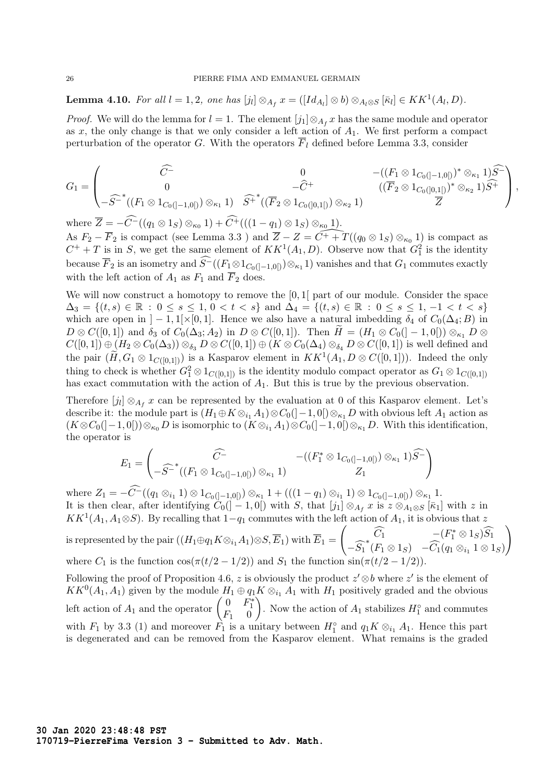**Lemma 4.10.** For all  $l = 1, 2$ , one has  $[j_l] \otimes_{A_f} x = ([Id_{A_l}] \otimes b) \otimes_{A_l \otimes S} [\bar{\kappa}_l] \in KK^1(A_l, D)$ .

*Proof.* We will do the lemma for  $l = 1$ . The element  $[j_1] \otimes_{A_f} x$  has the same module and operator as  $x$ , the only change is that we only consider a left action of  $A_1$ . We first perform a compact perturbation of the operator G. With the operators  $\overline{F}_l$  defined before Lemma 3.3, consider

$$
G_1 = \begin{pmatrix} \widehat{C}^- & 0 & -( (F_1 \otimes 1_{C_0([-1,0[)})^* \otimes_{\kappa_1} 1) \widehat{S}^- \\ 0 & -\widehat{C}^+ & ( (F_2 \otimes 1_{C_0([0,1[)})^* \otimes_{\kappa_2} 1) \widehat{S}^+ \\ -\widehat{S}^- ^* ((F_1 \otimes 1_{C_0([-1,0[)}) \otimes_{\kappa_1} 1) & \widehat{S}^+ ^* ((\overline{F}_2 \otimes 1_{C_0([0,1[)}) \otimes_{\kappa_2} 1) & \overline{Z} \end{pmatrix},
$$

where  $\overline{Z} = -C^{-}((q_1 \otimes 1_S) \otimes_{\kappa_0} 1) + C^{+}(((1 - q_1) \otimes 1_S) \otimes_{\kappa_0} 1).$ As  $F_2 - \overline{F}_2$  is compact (see Lemma 3.3) and  $\overline{Z} - Z = \overline{C^+ + T}((q_0 \otimes 1_S) \otimes_{\kappa_0} 1)$  is compact as  $C^+ + T$  is in S, we get the same element of  $KK^1(A_1, D)$ . Observe now that  $G_1^2$  is the identity because  $\overline{F}_2$  is an isometry and  $S^-((F_1 \otimes 1_{C_0([-1,0[)}) \otimes_{\kappa_1} 1)$  vanishes and that  $G_1$  commutes exactly with the left action of  $A_1$  as  $F_1$  and  $\overline{F}_2$  does.

We will now construct a homotopy to remove the  $[0, 1]$  part of our module. Consider the space  $\Delta_3 = \{(t, s) \in \mathbb{R} : 0 \le s \le 1, 0 < t < s\}$  and  $\Delta_4 = \{(t, s) \in \mathbb{R} : 0 \le s \le 1, -1 < t < s\}$ which are open in  $]-1,1[\times[0,1]$ . Hence we also have a natural imbedding  $\delta_4$  of  $C_0(\Delta_4;B)$  in  $D \otimes C([0,1])$  and  $\delta_3$  of  $C_0(\Delta_3; A_2)$  in  $D \otimes C([0,1])$ . Then  $\widetilde{H} = (H_1 \otimes C_0([-1,0])) \otimes_{\kappa_1} D \otimes$  $C([0,1]) \oplus (H_2 \otimes C_0(\Delta_3)) \otimes_{\delta_3} D \otimes C([0,1]) \oplus (K \otimes C_0(\Delta_4) \otimes_{\delta_4} D \otimes C([0,1])$  is well defined and the pair  $(\widetilde{H}, G_1 \otimes 1_{C([0,1])})$  is a Kasparov element in  $KK^1(A_1, D \otimes C([0,1]))$ . Indeed the only thing to check is whether  $G_1^2 \otimes 1_{C([0,1])}$  is the identity modulo compact operator as  $G_1 \otimes 1_{C([0,1])}$ has exact commutation with the action of  $A_1$ . But this is true by the previous observation.

Therefore  $[j_l] \otimes_{A_f} x$  can be represented by the evaluation at 0 of this Kasparov element. Let's describe it: the module part is  $(H_1 \oplus K \otimes_{i_1} A_1) \otimes C_0([-1,0]) \otimes_{\kappa_1} D$  with obvious left  $A_1$  action as  $(K \otimes C_0([-1,0])) \otimes_{\kappa_0} D$  is isomorphic to  $(K \otimes_{i_1} A_1) \otimes C_0([-1,0]) \otimes_{\kappa_1} D$ . With this identification, the operator is

$$
E_1 = \begin{pmatrix} \widehat{C}^- & -( (F_1^* \otimes 1_{C_0([-1,0[)}) \otimes_{\kappa_1} 1) \widehat{S}^- \\ -\widehat{S}^{-*}((F_1 \otimes 1_{C_0([-1,0[)}) \otimes_{\kappa_1} 1) & Z_1 \end{pmatrix}
$$

 $\text{where } Z_1 = -C^{-}((q_1 \otimes_{i_1} 1) \otimes 1_{C_0([-1,0[)}) \otimes_{\kappa_1} 1 + (((1-q_1) \otimes_{i_1} 1) \otimes 1_{C_0([-1,0[)}) \otimes_{\kappa_1} 1$ It is then clear, after identifying  $C_0(]-1,0[)$  with S, that  $[j_1] \otimes_{A_f} x$  is  $z \otimes_{A_1 \otimes S} [\bar{\kappa}_1]$  with  $z$  in  $KK^1(A_1, A_1 \otimes S)$ . By recalling that  $1-q_1$  commutes with the left action of  $A_1$ , it is obvious that z is represented by the pair  $((H_1 \oplus q_1 K \otimes_{i_1} A_1) \otimes S, \overline{E}_1)$  with  $\overline{E}_1 =$  $\left( \begin{array}{cc} \widehat{C}_1 & - (F_1^* \otimes 1_S) \widehat{S}_1 \end{array} \right)$  $-\widehat{S_1}^*(F_1 \otimes 1_S)$   $-\widehat{C_1}(q_1 \otimes_{i_1} 1 \otimes 1_S)$  $\setminus$ where  $C_1$  is the function  $\cos(\pi(t/2 - 1/2))$  and  $S_1$  the function  $\sin(\pi(t/2 - 1/2))$ .

Following the proof of Proposition 4.6, z is obviously the product  $z' \otimes b$  where  $z'$  is the element of  $KK^0(A_1, A_1)$  given by the module  $H_1 \oplus q_1 K \otimes_{i_1} A_1$  with  $H_1$  positively graded and the obvious left action of  $A_1$  and the operator  $\begin{pmatrix} 0 & F_1^* \\ F_1 & 0 \end{pmatrix}$ ). Now the action of  $A_1$  stabilizes  $H_1^{\circ}$  and commutes with  $F_1$  by 3.3 (1) and moreover  $\hat{F_1}$  is a unitary between  $H_1^{\circ}$  and  $q_1 K \otimes_{i_1} A_1$ . Hence this part is degenerated and can be removed from the Kasparov element. What remains is the graded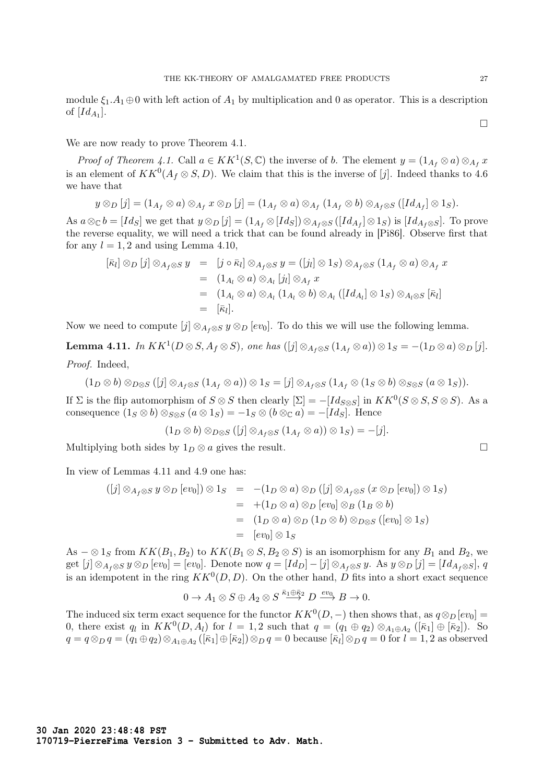We are now ready to prove Theorem 4.1.

*Proof of Theorem 4.1.* Call  $a \in KK^1(S, \mathbb{C})$  the inverse of b. The element  $y = (1_{A_f} \otimes a) \otimes_{A_f} x$ is an element of  $KK^0(A_f \otimes S, D)$ . We claim that this is the inverse of [j]. Indeed thanks to 4.6 we have that

$$
y \otimes_D [j] = (1_{A_f} \otimes a) \otimes_{A_f} x \otimes_D [j] = (1_{A_f} \otimes a) \otimes_{A_f} (1_{A_f} \otimes b) \otimes_{A_f \otimes S} ([Id_{A_f}] \otimes 1_S).
$$

As  $a \otimes_{\mathbb{C}} b = [Id_S]$  we get that  $y \otimes_{D} [j] = (1_{A_f} \otimes [Id_S]) \otimes_{A_f \otimes S} ([Id_{A_f}] \otimes 1_S)$  is  $[Id_{A_f \otimes S}]$ . To prove the reverse equality, we will need a trick that can be found already in [Pi86]. Observe first that for any  $l = 1, 2$  and using Lemma 4.10,

$$
\begin{array}{rcl}\n[\bar{\kappa}_l] \otimes_D [j] \otimes_{A_f \otimes S} y & = & [j \circ \bar{\kappa}_l] \otimes_{A_f \otimes S} y = ([j_l] \otimes 1_S) \otimes_{A_f \otimes S} (1_{A_f} \otimes a) \otimes_{A_f} x \\
 & = & (1_{A_l} \otimes a) \otimes_{A_l} [j_l] \otimes_{A_f} x \\
 & = & (1_{A_l} \otimes a) \otimes_{A_l} (1_{A_l} \otimes b) \otimes_{A_l} ([Id_{A_l}] \otimes 1_S) \otimes_{A_l \otimes S} [\bar{\kappa}_l] \\
 & = & [\bar{\kappa}_l].\n\end{array}
$$

Now we need to compute  $[j] \otimes_{A_f \otimes S} y \otimes_D [ev_0]$ . To do this we will use the following lemma.

**Lemma 4.11.** In  $KK^1(D \otimes S, A_f \otimes S)$ , one has  $([j] \otimes_{A_f \otimes S} (1_{A_f} \otimes a)) \otimes 1_S = -(1_D \otimes a) \otimes_D [j].$ Proof. Indeed,

$$
(1_D \otimes b) \otimes_{D \otimes S} ([j] \otimes_{A_f \otimes S} (1_{A_f} \otimes a)) \otimes 1_S = [j] \otimes_{A_f \otimes S} (1_{A_f} \otimes (1_S \otimes b) \otimes_{S \otimes S} (a \otimes 1_S)).
$$

If  $\Sigma$  is the flip automorphism of  $S \otimes S$  then clearly  $[\Sigma] = -[Id_{S \otimes S}]$  in  $KK^0(S \otimes S, S \otimes S)$ . As a consequence  $(1_S \otimes b) \otimes_{S \otimes S} (a \otimes 1_S) = -1_S \otimes (b \otimes_{\mathbb{C}} a) = -[Id_S]$ . Hence

$$
(1_D \otimes b) \otimes_{D \otimes S} ([j] \otimes_{A_f \otimes S} (1_{A_f} \otimes a)) \otimes 1_S) = -[j].
$$

Multiplying both sides by  $1_D \otimes a$  gives the result.  $\Box$ 

In view of Lemmas 4.11 and 4.9 one has:

$$
\begin{array}{rcl} ([j] \otimes_{A_f \otimes S} y \otimes_D [ev_0]) \otimes 1_S & = & -(1_D \otimes a) \otimes_D ([j] \otimes_{A_f \otimes S} (x \otimes_D [ev_0]) \otimes 1_S) \\ & = & +(1_D \otimes a) \otimes_D [ev_0] \otimes_B (1_B \otimes b) \\ & = & (1_D \otimes a) \otimes_D (1_D \otimes b) \otimes_{D \otimes S} ([ev_0] \otimes 1_S) \\ & = & [ev_0] \otimes 1_S \end{array}
$$

As  $-\otimes 1_S$  from  $KK(B_1, B_2)$  to  $KK(B_1 \otimes S, B_2 \otimes S)$  is an isomorphism for any  $B_1$  and  $B_2$ , we get  $[j] \otimes_{A_f \otimes S} y \otimes_D [ev_0] = [ev_0]$ . Denote now  $q = [Id_D] - [j] \otimes_{A_f \otimes S} y$ . As  $y \otimes_D [j] = [Id_{A_f \otimes S}]$ , q is an idempotent in the ring  $KK^0(D, D)$ . On the other hand, D fits into a short exact sequence

$$
0 \to A_1 \otimes S \oplus A_2 \otimes S \stackrel{\bar{\kappa}_1 \oplus \bar{\kappa}_2}{\longrightarrow} D \stackrel{ev_0}{\longrightarrow} B \to 0.
$$

The induced six term exact sequence for the functor  $KK^0(D, -)$  then shows that, as  $q \otimes_D [ev_0] =$ 0, there exist q<sub>l</sub> in  $KK^0(D, A_l)$  for  $l = 1, 2$  such that  $q = (q_1 \oplus q_2) \otimes_{A_1 \oplus A_2} ([\bar{\kappa}_1] \oplus [\bar{\kappa}_2])$ . So  $q = q \otimes_D q = (q_1 \oplus q_2) \otimes_{A_1 \oplus A_2} ([\bar{\kappa}_1] \oplus [\bar{\kappa}_2]) \otimes_D q = 0$  because  $[\bar{\kappa}_l] \otimes_D q = 0$  for  $l = 1, 2$  as observed

 $\Box$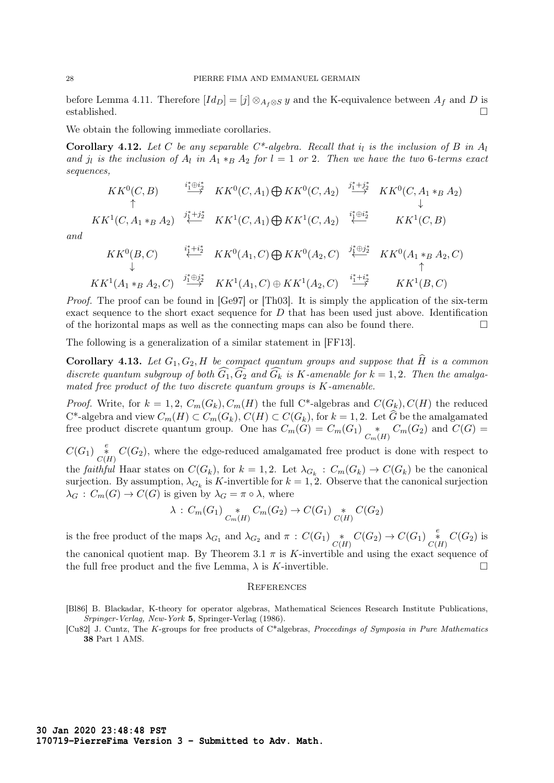before Lemma 4.11. Therefore  $Id_D = [j] \otimes_{A_f \otimes S} y$  and the K-equivalence between  $A_f$  and D is established. established.  $\Box$ 

We obtain the following immediate corollaries.

**Corollary 4.12.** Let C be any separable  $C^*$ -algebra. Recall that  $i_l$  is the inclusion of B in  $A_l$ and j<sub>l</sub> is the inclusion of  $A_l$  in  $A_1 *_{B} A_2$  for  $l = 1$  or 2. Then we have the two 6-terms exact sequences,

$$
KK^{0}(C, B) \xrightarrow{\begin{array}{cc}\n i_{1}^{*} \oplus i_{2}^{*} \\
 \uparrow \n\end{array}} \n KK^{0}(C, A_{1}) \bigoplus KK^{0}(C, A_{2}) \xrightarrow{\begin{array}{cc}\n j_{1}^{*} + j_{2}^{*} \\
 \downarrow \n\end{array}} \n KK^{0}(C, A_{1} *_{B} A_{2})
$$
\n
$$
KK^{1}(C, A_{1} *_{B} A_{2}) \xleftarrow{\begin{array}{cc}\n i_{1}^{*} \oplus i_{2}^{*} \\
 \downarrow \n\end{array}} \n KK^{1}(C, B)
$$

and

$$
KK^0(B, C) \qquad \overset{i_1^* + i_2^*}{\longleftrightarrow} \quad KK^0(A_1, C) \bigoplus KK^0(A_2, C) \qquad \overset{j_1^* \oplus j_2^*}{\longleftrightarrow} \quad KK^0(A_1 *_{B} A_2, C)
$$
\n
$$
KK^1(A_1 *_{B} A_2, C) \qquad \overset{j_1^* \oplus j_2^*}{\longrightarrow} \quad KK^1(A_1, C) \oplus KK^1(A_2, C) \qquad \overset{i_1^* + i_2^*}{\longrightarrow} \quad KK^1(B, C)
$$

Proof. The proof can be found in [Ge97] or [Th03]. It is simply the application of the six-term exact sequence to the short exact sequence for  $D$  that has been used just above. Identification of the horizontal maps as well as the connecting maps can also be found there.  $\Box$ 

The following is a generalization of a similar statement in [FF13].

**Corollary 4.13.** Let  $G_1, G_2, H$  be compact quantum groups and suppose that  $\widehat{H}$  is a common discrete quantum subgroup of both  $G_1, G_2$  and  $G_k$  is K-amenable for  $k = 1, 2$ . Then the amalgamated free product of the two discrete quantum groups is K-amenable.

*Proof.* Write, for  $k = 1, 2, C_m(G_k), C_m(H)$  the full C<sup>\*</sup>-algebras and  $C(G_k), C(H)$  the reduced  $C^*$ -algebra and view  $C_m(H) \subset C_m(G_k)$ ,  $C(H) \subset C(G_k)$ , for  $k = 1, 2$ . Let G be the amalgamated free product discrete quantum group. One has  $C_m(G) = C_m(G_1) \underset{C_m(H)}{*} C_m(G_2)$  and  $C(G) =$ 

 $C(G_1)$   $\underset{C(H)}{\overset{e}{*}} C(G_2)$ , where the edge-reduced amalgamated free product is done with respect to the *faithful* Haar states on  $C(G_k)$ , for  $k = 1, 2$ . Let  $\lambda_{G_k} : C_m(G_k) \to C(G_k)$  be the canonical surjection. By assumption,  $\lambda_{G_k}$  is K-invertible for  $k = 1, 2$ . Observe that the canonical surjection  $\lambda_G : C_m(G) \to C(G)$  is given by  $\lambda_G = \pi \circ \lambda$ , where

$$
\lambda : C_m(G_1) \underset{C_m(H)}{*} C_m(G_2) \to C(G_1) \underset{C(H)}{*} C(G_2)
$$

is the free product of the maps  $\lambda_{G_1}$  and  $\lambda_{G_2}$  and  $\pi : C(G_1) \underset{C(H)}{*} {\ast} C(G_2) \to C(G_1) \underset{C(H)}{*} {\ast} C(G_2)$  is the canonical quotient map. By Theorem 3.1  $\pi$  is K-invertible and using the exact sequence of the full free product and the five Lemma,  $\lambda$  is K-invertible.

#### **REFERENCES**

<sup>[</sup>Bl86] B. Blackadar, K-theory for operator algebras, Mathematical Sciences Research Institute Publications, Srpinger-Verlag, New-York 5, Springer-Verlag (1986).

<sup>[</sup>Cu82] J. Cuntz, The K-groups for free products of C\*algebras, Proceedings of Symposia in Pure Mathematics 38 Part 1 AMS.